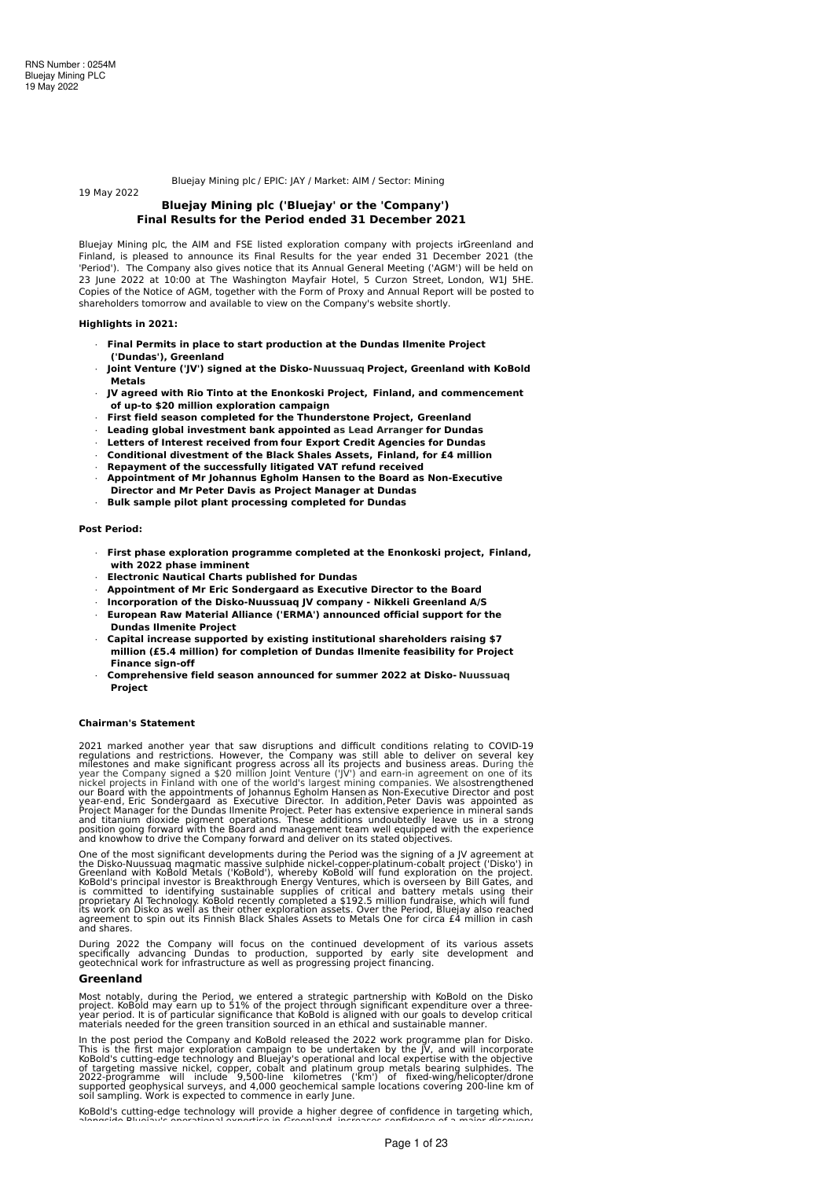Bluejay Mining plc / EPIC: JAY / Market: AIM / Sector: Mining

# **Bluejay Mining plc ('Bluejay' or the 'Company') Final Results for the Period ended 31 December 2021**

Bluejay Mining plc, the AIM and FSE listed exploration company with projects inGreenland and Finland, is pleased to announce its Final Results for the year ended 31 December 2021 (the 'Period'). The Company also gives notice that its Annual General Meeting ('AGM') will be held on 23 June 2022 at 10:00 at The Washington Mayfair Hotel, 5 Curzon Street, London, W1J 5HE. Copies of the Notice of AGM, together with the Form of Proxy and Annual Report will be posted to shareholders tomorrow and available to view on the Company's website shortly.

### **Highlights in 2021:**

19 May 2022

- · **Final Permits in place to start production at the Dundas Ilmenite Project ('Dundas'), Greenland**
- · **Joint Venture ('JV') signed at the Disko-Nuussuaq Project, Greenland with KoBold Metals**
- · **JV agreed with Rio Tinto at the Enonkoski Project, Finland, and commencement of up-to \$20 million exploration campaign**
- · **First field season completed for the Thunderstone Project, Greenland**
- · **Leading global investment bank appointed as Lead Arranger for Dundas**
- · **Letters of Interest received from four Export Credit Agencies for Dundas**
- · **Conditional divestment of the Black Shales Assets, Finland, for £4 million**
- · **Repayment of the successfully litigated VAT refund received** · **Appointment of Mr Johannus Egholm Hansen to the Board as Non-Executive Director and Mr Peter Davis as Project Manager at Dundas**
- · **Bulk sample pilot plant processing completed for Dundas**

# **Post Period:**

- · **First phase exploration programme completed at the Enonkoski project, Finland, with 2022 phase imminent**
- · **Electronic Nautical Charts published for Dundas**
- · **Appointment of Mr Eric Sondergaard as Executive Director to the Board**
- · **Incorporation of the Disko-Nuussuaq JV company - Nikkeli Greenland A/S**
- · **European Raw Material Alliance ('ERMA') announced official support for the Dundas Ilmenite Project**
- · **Capital increase supported by existing institutional shareholders raising \$7 million (£5.4 million) for completion of Dundas Ilmenite feasibility for Project Finance sign-off**
- · **Comprehensive field season announced for summer 2022 at Disko- Nuussuaq Project**

#### **Chairman's Statement**

2021 marked another year that saw disruptions and difficult conditions relating to COVID-19<br>regulations and restrictions. However, the Company was still able to deliver on several key<br>millestones and make significant progr

One of the most significant developments during the Period was the signing of a JV agreement at<br>the Disko-Nuussuag magmatic massive sulphide nickel-copper-platinum-cobalt project ('Disko') in<br>Greenland with KoBold Metals ( and shares.

During 2022 the Company will focus on the continued development of its various assets<br>specifically advancing Dundas to production, supported by early site development and<br>geotechnical-work-for-infrastructure-as-well-as-pro

# **Greenland**

Most notably, during the Period, we entered a strategic partnership with KoBold on the Disko<br>project. KoBold may earn up to 51% of the project through significant expenditure over a three-<br>year period. It is of particular

In the post period the Company and KoBold released the 2022 work programme plan for Disko.<br>This is the first major exploration campaign to be undertaken by the JV, and will incorporate<br>KoBold's cutting-edge technology and

KoBold's cutting-edge technology will provide a higher degree of confidence in targeting which, alongside Bluejaule enoustional expertise in Greenland, increases confidence of a major discovery.<br>.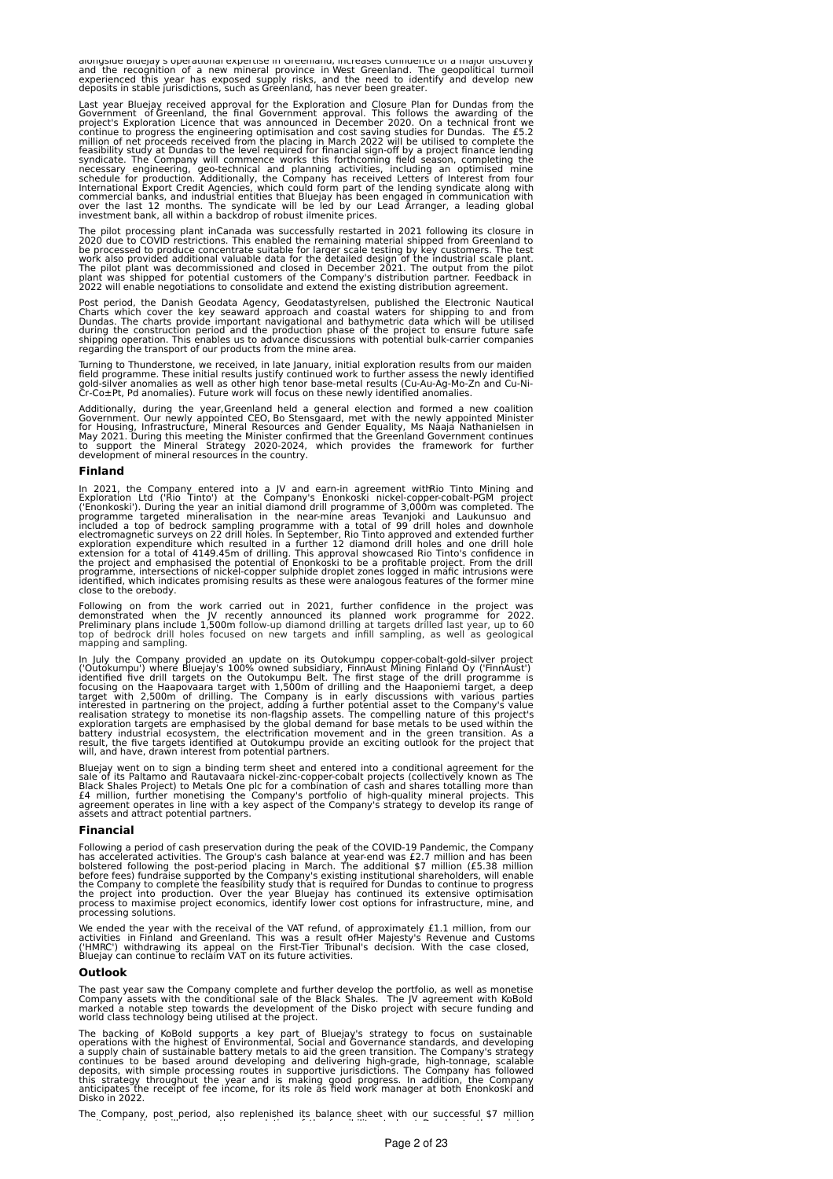aionysiue biuejay's operational expertise in Greenianu, increases commuence or a major uiscovery<br>and the recognition of a new mineral province in West Greenland. The geopolitical turmoil<br>experienced this year has exposed s

Last year Bluejay received approval for the Exploration and Closure Plan for Dundas from the Government of Greenland, the final Government approval. This follows the awarding of the project's Exploration Licence that was a

The pilot processing plant inCanada was successfully restarted in 2021 following its closure in 2020 due to COVID restrictions. This enabled the remaining material shipped from Greenland to processed to produce concentrate

Post period, the Danish Geodata Agency, Geodatastyrelsen, published the Electronic Nautical<br>Charts which cover the key seaward approach and coastal waters for shipping to and from<br>Dundas. The charts provide important navig

Turning to Thunderstone, we received, in late January, initial exploration results from our maiden<br>field programme. These initial results justify continued work to further assess the newly identified<br>gold-silver anomalies

Additionally, during the year,Greenland held a general election and formed a new coalition<br>Government. Our newly appointed CEO, Bo Stensgaard, met with the newly appointed Minister<br>for Housing, Infrastructure, Mineral Reso

# **Finland**

In 2021, the Company entered into a JV and earn-in agreement withRio Tinto Mining and<br>Exploration Ltd ('Rio Tinto') at the Company's Enonkoski nickel-copper-cobalt-PGM project<br>('Enonkoski'). During the year an initial diam

Following on from the work carried out in 2021, further confidence in the project was<br>demonstrated when the JV recently announced its planned work programme for 2022.<br>Preliminary plans include 1,500m follow-up diamond dril

In July the Company provided an update on its Outokumpu copper-cobalt-gold-silver project<br>('Outokumpu') where Bluejay's 100% owned subsidiary, FinnAust Mining Finland Oy ('FinnAust')<br>identified five drill trargets on the O

Bluejay went on to sign a binding term sheet and entered into a conditional agreement for the<br>sale of its Paltamo and Rautavaara nickel-zinc-copper-cobalt projects (collectively known as The<br>Black Shales Project) to Metals

#### **Financial**

Following a period of cash preservation during the peak of the COVID-19 Pandemic, the Company<br>has accelerated activities. The Group's cash balance at year-end was £2.7 million and has been<br>bolstered following the post-peri

We ended the year with the receival of the VAT refund, of approximately £1.1 million, from our<br>activities in Finland and Greenland. This was a result ofHer Majesty's Revenue and Customs<br>('HMRC') withdrawing its appeal

# **Outlook**

The past year saw the Company complete and further develop the portfolio, as well as monetise<br>Company assets with the conditional sale of the Black Shales. The JV agreement with KoBold<br>marked a notable step towards the de

The backing of KoBold supports a key part of Bluejay's strategy to focus on sustainable operations with the highest of Environmental, Social and Governance standards, and developing a supply chain of sustainable battery me

The Company, post period, also replenished its balance sheet with our successful \$7 million equity raise that will ensure the completion of the feasibility study at Dundas to the point of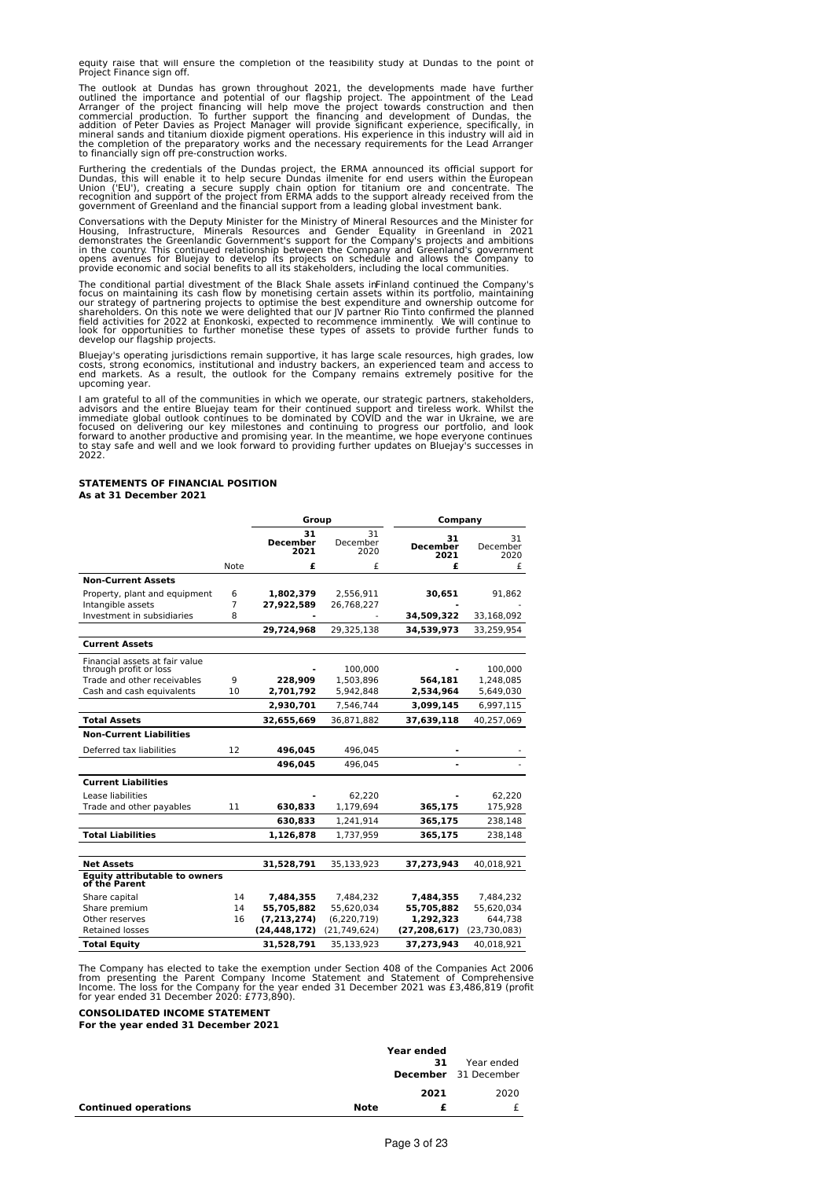equity raise that will ensure the completion of the feasibility study at Dundas to the point of Project Finance sign off.

The outlook at Dundas has grown throughout 2021, the developments made have further outlined the importance and potential of our flagship project. The appointment of the Lead Arranger of the project financing will help mov

Furthering the credentials of the Dundas project, the ERMA announced its official support for<br>Dundas, this will enable it to help secure Dundas ilmenite for end users within the European<br>Union ('EU'), creating a secure sup

Conversations with the Deputy Minister for the Ministry of Mineral Resources and the Minister for<br>Housing, Infrastructure, Minerals Resources and Gender Equality in Greenland in 2021<br>demonstrates the Greenlandic Government

The conditional partial divestment of the Black Shale assets inFinland continued the Company's focus on maintaining its cash flow by monetising certain assets within its portfolio, maintaining<br>our strategy of partnering projects to optimise the best expenditure and ownership outcome for<br>shareholders. On this note we develop our flagship projects.

Bluejay's operating jurisdictions remain supportive, it has large scale resources, high grades, low<br>costs, strong economics, institutional and industry backers, an experienced team and access to<br>end markets. As a result, t upcoming year.

I am grateful to all of the communities in which we operate, our strategic partners, stakeholders, advisors and the entire Bluejay team for their continued support and tireles work. Whilst the immediate global outlook cont 2022.

# **STATEMENTS OF FINANCIAL POSITION As at 31 December 2021**

|                                                       |                |                               | Group                  |                               | Company                |  |
|-------------------------------------------------------|----------------|-------------------------------|------------------------|-------------------------------|------------------------|--|
|                                                       |                | 31<br><b>December</b><br>2021 | 31<br>December<br>2020 | 31<br><b>December</b><br>2021 | 31<br>December<br>2020 |  |
|                                                       | Note           | £                             | £                      | £                             | £                      |  |
| <b>Non-Current Assets</b>                             |                |                               |                        |                               |                        |  |
| Property, plant and equipment                         | 6              | 1,802,379                     | 2,556,911              | 30,651                        | 91,862                 |  |
| Intangible assets                                     | $\overline{7}$ | 27,922,589                    | 26,768,227             |                               |                        |  |
| Investment in subsidiaries                            | 8              |                               |                        | 34,509,322                    | 33,168,092             |  |
|                                                       |                | 29,724,968                    | 29,325,138             | 34,539,973                    | 33,259,954             |  |
| <b>Current Assets</b>                                 |                |                               |                        |                               |                        |  |
| Financial assets at fair value                        |                |                               |                        |                               |                        |  |
| through profit or loss                                |                |                               | 100,000                |                               | 100,000                |  |
| Trade and other receivables                           | 9              | 228,909                       | 1,503,896              | 564,181                       | 1,248,085              |  |
| Cash and cash equivalents                             | 10             | 2,701,792                     | 5,942,848              | 2,534,964                     | 5,649,030              |  |
|                                                       |                | 2,930,701                     | 7,546,744              | 3,099,145                     | 6,997,115              |  |
| <b>Total Assets</b>                                   |                | 32,655,669                    | 36,871,882             | 37,639,118                    | 40,257,069             |  |
| <b>Non-Current Liabilities</b>                        |                |                               |                        |                               |                        |  |
| Deferred tax liabilities                              | 12             | 496,045                       | 496,045                |                               |                        |  |
|                                                       |                | 496,045                       | 496,045                |                               |                        |  |
| <b>Current Liabilities</b>                            |                |                               |                        |                               |                        |  |
| Lease liabilities                                     |                |                               | 62,220                 |                               | 62,220                 |  |
| Trade and other payables                              | 11             | 630,833                       | 1,179,694              | 365,175                       | 175,928                |  |
|                                                       |                | 630,833                       | 1,241,914              | 365,175                       | 238,148                |  |
| <b>Total Liabilities</b>                              |                | 1,126,878                     | 1,737,959              | 365,175                       | 238,148                |  |
|                                                       |                |                               |                        |                               |                        |  |
| <b>Net Assets</b>                                     |                | 31,528,791                    | 35,133,923             | 37,273,943                    | 40,018,921             |  |
| <b>Equity attributable to owners</b><br>of the Parent |                |                               |                        |                               |                        |  |
| Share capital                                         | 14             | 7,484,355                     | 7,484,232              | 7,484,355                     | 7,484,232              |  |
| Share premium                                         | 14             | 55,705,882                    | 55,620,034             | 55,705,882                    | 55,620,034             |  |
| Other reserves                                        | 16             | (7, 213, 274)                 | (6, 220, 719)          | 1,292,323                     | 644,738                |  |
| <b>Retained losses</b>                                |                | (24, 448, 172)                | (21, 749, 624)         | (27, 208, 617)                | (23, 730, 083)         |  |
| <b>Total Equity</b>                                   |                | 31,528,791                    | 35,133,923             | 37,273,943                    | 40,018,921             |  |

The Company has elected to take the exemption under Section 408 of the Companies Act 2006<br>from presenting the Parent Company Income Statement and Statement of Comprehensive<br>Income. The loss for the Company for the year end

**CONSOLIDATED INCOME STATEMENT**

**For the year ended 31 December 2021**

|                             |      | Year ended<br>31 | Year ended<br><b>December</b> 31 December |
|-----------------------------|------|------------------|-------------------------------------------|
|                             |      | 2021             | 2020                                      |
| <b>Continued operations</b> | Note |                  |                                           |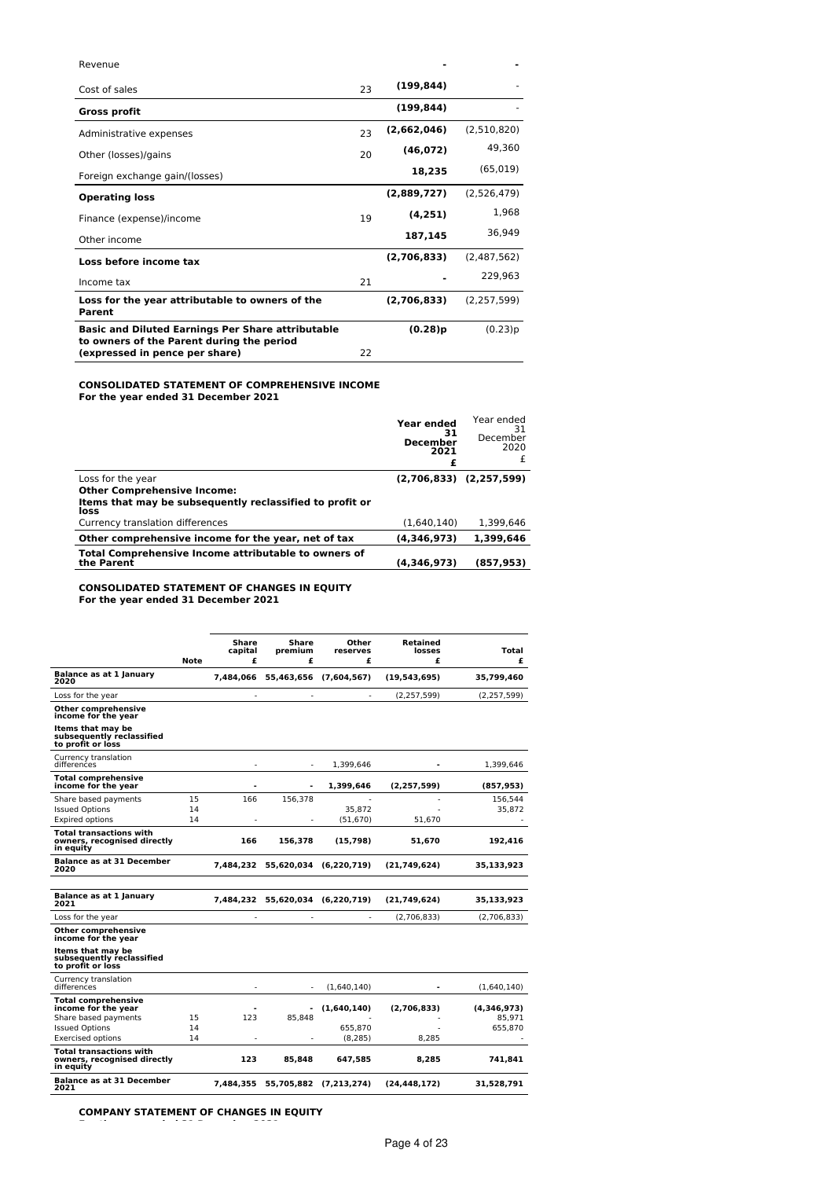| Revenue                                                                     |    |             |               |
|-----------------------------------------------------------------------------|----|-------------|---------------|
| Cost of sales                                                               | 23 | (199, 844)  |               |
| <b>Gross profit</b>                                                         |    | (199, 844)  |               |
| Administrative expenses                                                     | 23 | (2,662,046) | (2,510,820)   |
| Other (losses)/gains                                                        | 20 | (46, 072)   | 49,360        |
| Foreign exchange gain/(losses)                                              |    | 18,235      | (65, 019)     |
| <b>Operating loss</b>                                                       |    | (2,889,727) | (2,526,479)   |
| Finance (expense)/income                                                    | 19 | (4, 251)    | 1,968         |
| Other income                                                                |    | 187,145     | 36,949        |
| Loss before income tax                                                      |    | (2,706,833) | (2,487,562)   |
| Income tax                                                                  | 21 |             | 229,963       |
| Loss for the year attributable to owners of the<br>Parent                   |    | (2,706,833) | (2, 257, 599) |
| <b>Basic and Diluted Earnings Per Share attributable</b>                    |    | (0.28)p     | (0.23)p       |
| to owners of the Parent during the period<br>(expressed in pence per share) | 22 |             |               |

# **CONSOLIDATED STATEMENT OF COMPREHENSIVE INCOME**

**For the year ended 31 December 2021**

|                                                                    | Year ended<br>31<br><b>December</b><br>2021 | Year ended<br>31<br>December<br>2020 |
|--------------------------------------------------------------------|---------------------------------------------|--------------------------------------|
| Loss for the year                                                  |                                             | $(2,706,833)$ $(2,257,599)$          |
| <b>Other Comprehensive Income:</b>                                 |                                             |                                      |
| Items that may be subsequently reclassified to profit or<br>loss   |                                             |                                      |
| Currency translation differences                                   | (1.640.140)                                 | 1,399,646                            |
| Other comprehensive income for the year, net of tax                | (4,346,973)                                 | 1,399,646                            |
| Total Comprehensive Income attributable to owners of<br>the Parent | (4,346,973)                                 | (857, 953)                           |

**CONSOLIDATED STATEMENT OF CHANGES IN EQUITY For the year ended 31 December 2021**

|                                                                            | <b>Note</b> | Share<br>capital<br>£ | Share<br>premium<br>£            | Other<br>reserves<br>£ | Retained<br>losses<br>£ | Total<br>£    |
|----------------------------------------------------------------------------|-------------|-----------------------|----------------------------------|------------------------|-------------------------|---------------|
| Balance as at 1 January<br>2020                                            |             | 7,484,066             |                                  | 55,463,656 (7,604,567) | (19, 543, 695)          | 35,799,460    |
| Loss for the year                                                          |             |                       |                                  |                        | (2, 257, 599)           | (2, 257, 599) |
| Other comprehensive<br>income for the year                                 |             |                       |                                  |                        |                         |               |
| Items that may be<br>subsequently reclassified<br>to profit or loss        |             |                       |                                  |                        |                         |               |
| Currency translation<br>differences                                        |             |                       |                                  | 1,399,646              |                         | 1,399,646     |
| <b>Total comprehensive</b><br>income for the year                          |             |                       | $\overline{a}$                   | 1.399.646              | (2, 257, 599)           | (857, 953)    |
| Share based payments                                                       | 15          | 166                   | 156,378                          |                        |                         | 156,544       |
| <b>Issued Options</b>                                                      | 14          |                       |                                  | 35,872                 |                         | 35,872        |
| <b>Expired options</b>                                                     | 14          |                       |                                  | (51, 670)              | 51.670                  |               |
| <b>Total transactions with</b><br>owners, recognised directly<br>in equity |             | 166                   | 156,378                          | (15, 798)              | 51,670                  | 192,416       |
| <b>Balance as at 31 December</b><br>2020                                   |             | 7,484,232             | 55,620,034                       | (6,220,719)            | (21,749,624)            | 35,133,923    |
|                                                                            |             |                       |                                  |                        |                         |               |
| <b>Balance as at 1 January</b><br>2021                                     |             |                       | 7,484,232 55,620,034 (6,220,719) |                        | (21,749,624)            | 35,133,923    |
| Loss for the year                                                          |             |                       |                                  | ٠                      | (2,706,833)             | (2,706,833)   |
| Other comprehensive<br>income for the year                                 |             |                       |                                  |                        |                         |               |
| Items that may be<br>subsequently reclassified<br>to profit or loss        |             |                       |                                  |                        |                         |               |
| Currency translation<br>differences                                        |             |                       |                                  | (1,640,140)            |                         | (1,640,140)   |
| <b>Total comprehensive</b><br>income for the year                          |             |                       |                                  | (1,640,140)            | (2.706.833)             | (4,346,973)   |
| Share based payments                                                       | 15          | 123                   | 85,848                           |                        |                         | 85,971        |
| <b>Issued Options</b>                                                      | 14          |                       |                                  | 655.870                |                         | 655.870       |
| <b>Exercised options</b>                                                   | 14          |                       |                                  | (8.285)                | 8.285                   |               |
| <b>Total transactions with</b><br>owners, recognised directly<br>in equity |             | 123                   | 85,848                           | 647.585                | 8,285                   | 741.841       |
| <b>Balance as at 31 December</b><br>2021                                   |             | 7.484.355             |                                  | 55,705,882 (7,213,274) | (24.448.172)            | 31,528,791    |

**COMPANY STATEMENT OF CHANGES IN EQUITY**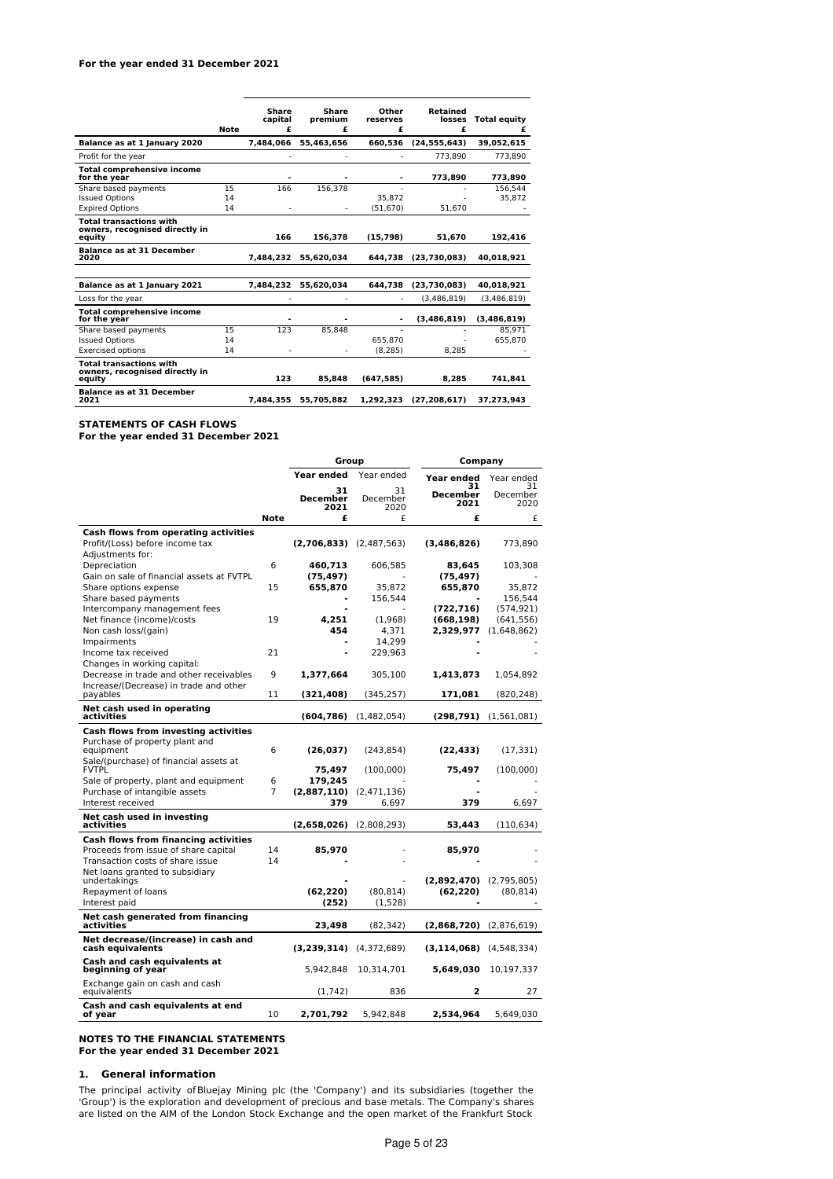# **For the year ended 31 December 2021**

|                                                                            | <b>Note</b> | Share<br>capital<br>£ | <b>Share</b><br>premium<br>£ | Other<br>reserves<br>£ | <b>Retained</b><br>losses<br>£ | <b>Total equity</b><br>£ |
|----------------------------------------------------------------------------|-------------|-----------------------|------------------------------|------------------------|--------------------------------|--------------------------|
| Balance as at 1 January 2020                                               |             | 7.484.066             | 55.463.656                   | 660.536                | (24.555.643)                   | 39.052.615               |
| Profit for the year                                                        |             |                       | ٠                            |                        | 773.890                        | 773.890                  |
| <b>Total comprehensive income</b><br>for the year                          |             |                       |                              |                        | 773.890                        | 773,890                  |
| Share based payments                                                       | 15          | 166                   | 156.378                      |                        |                                | 156.544                  |
| <b>Issued Options</b>                                                      | 14          |                       |                              | 35.872                 |                                | 35.872                   |
| <b>Expired Options</b>                                                     | 14          |                       | ٠                            | (51.670)               | 51.670                         |                          |
| <b>Total transactions with</b><br>owners, recognised directly in<br>equity |             | 166                   | 156,378                      | (15, 798)              | 51,670                         | 192,416                  |
| <b>Balance as at 31 December</b><br>2020                                   |             | 7.484.232             | 55.620.034                   | 644,738                | (23.730.083)                   | 40.018.921               |
| Balance as at 1 January 2021                                               |             | 7.484.232             | 55.620.034                   | 644.738                | (23.730.083)                   | 40.018.921               |
| Loss for the year                                                          |             |                       |                              |                        | (3.486.819)                    | (3.486.819)              |
| <b>Total comprehensive income</b><br>for the year                          |             |                       |                              | $\blacksquare$         | (3.486.819)                    | (3.486.819)              |
| Share based payments                                                       | 15          | 123                   | 85.848                       | ٠                      |                                | 85.971                   |
| <b>Issued Options</b>                                                      | 14          |                       |                              | 655.870                |                                | 655.870                  |
| <b>Exercised options</b>                                                   | 14          | ٠                     | ٠                            | (8.285)                | 8.285                          |                          |
| <b>Total transactions with</b><br>owners, recognised directly in<br>equity |             | 123                   | 85.848                       | (647, 585)             | 8.285                          | 741.841                  |
| <b>Balance as at 31 December</b><br>2021                                   |             | 7,484,355             | 55,705,882                   | 1,292,323              | (27, 208, 617)                 | 37,273,943               |

# **STATEMENTS OF CASH FLOWS**

**For the year ended 31 December 2021**

|                                                          |             | Group                         |                        | Company                         |                        |
|----------------------------------------------------------|-------------|-------------------------------|------------------------|---------------------------------|------------------------|
|                                                          |             | Year ended                    | Year ended             | Year ended                      | Year ended             |
|                                                          |             | 31<br><b>December</b><br>2021 | 31<br>December<br>2020 | 31<br>December<br>2021          | 31<br>December<br>2020 |
|                                                          | <b>Note</b> | £                             | £                      | £                               | £                      |
| Cash flows from operating activities                     |             |                               |                        |                                 |                        |
| Profit/(Loss) before income tax<br>Adjustments for:      |             | $(2,706,833)$ $(2,487,563)$   |                        | (3,486,826)                     | 773,890                |
| Depreciation                                             | 6           | 460,713                       | 606,585                | 83,645                          | 103,308                |
| Gain on sale of financial assets at FVTPL                |             | (75, 497)                     |                        | (75,497)                        |                        |
| Share options expense                                    | 15          | 655,870                       | 35,872                 | 655,870                         | 35,872                 |
| Share based payments                                     |             |                               | 156,544                |                                 | 156,544                |
| Intercompany management fees                             |             |                               |                        | (722,716)                       | (574, 921)             |
| Net finance (income)/costs                               | 19          | 4,251                         | (1,968)                | (668, 198)                      | (641, 556)             |
| Non cash loss/(gain)                                     |             | 454                           | 4.371                  | 2,329,977                       | (1,648,862)            |
| Impairments                                              |             |                               | 14,299                 |                                 |                        |
| Income tax received<br>Changes in working capital:       | 21          |                               | 229,963                |                                 |                        |
| Decrease in trade and other receivables                  | 9           | 1,377,664                     | 305,100                | 1,413,873                       | 1,054,892              |
| Increase/(Decrease) in trade and other                   |             |                               |                        |                                 |                        |
| payables                                                 | 11          | (321, 408)                    | (345, 257)             | 171,081                         | (820, 248)             |
| Net cash used in operating<br>activities                 |             | (604, 786)                    | (1,482,054)            | (298,791)                       | (1,561,081)            |
| Cash flows from investing activities                     |             |                               |                        |                                 |                        |
| Purchase of property plant and<br>equipment              | 6           | (26, 037)                     | (243, 854)             | (22, 433)                       | (17,331)               |
| Sale/(purchase) of financial assets at                   |             |                               |                        |                                 |                        |
| <b>FVTPL</b>                                             |             | 75,497                        | (100,000)              | 75,497                          | (100,000)              |
| Sale of property, plant and equipment                    | 6           | 179,245                       |                        |                                 |                        |
| Purchase of intangible assets                            | 7           | (2,887,110)                   | (2,471,136)            |                                 |                        |
| Interest received                                        |             | 379                           | 6,697                  | 379                             | 6,697                  |
| Net cash used in investing<br>activities                 |             | (2,658,026)                   | (2,808,293)            | 53,443                          | (110, 634)             |
| Cash flows from financing activities                     |             |                               |                        |                                 |                        |
| Proceeds from issue of share capital                     | 14          | 85,970                        |                        | 85,970                          |                        |
| Transaction costs of share issue                         | 14          |                               |                        |                                 |                        |
| Net loans granted to subsidiary                          |             |                               |                        |                                 |                        |
| undertakings                                             |             |                               |                        | $(2,892,470)$ $(2,795,805)$     |                        |
| Repayment of loans                                       |             | (62, 220)                     | (80, 814)              | (62, 220)                       | (80, 814)              |
| Interest paid                                            |             | (252)                         | (1,528)                |                                 |                        |
| Net cash generated from financing<br>activities          |             | 23,498                        | (82, 342)              | (2,868,720)                     | (2,876,619)            |
| Net decrease/(increase) in cash and<br>cash equivalents  |             | (3,239,314)                   | (4,372,689)            | $(3, 114, 068)$ $(4, 548, 334)$ |                        |
| <b>Cash and cash equivalents at</b><br>beginning of year |             | 5,942,848                     | 10,314,701             | 5,649,030                       | 10,197,337             |
| Exchange gain on cash and cash<br>equivalents            |             | (1, 742)                      | 836                    | 2                               | 27                     |
| Cash and cash equivalents at end<br>of year              | 10          | 2,701,792                     | 5,942,848              | 2,534,964                       | 5,649,030              |

**NOTES TO THE FINANCIAL STATEMENTS For the year ended 31 December 2021**

# **1. General information**

The principal activity ofBluejay Mining plc (the 'Company') and its subsidiaries (together the 'Group') is the exploration and development of precious and base metals. The Company's shares are listed on the AIM of the London Stock Exchange and the open market of the Frankfurt Stock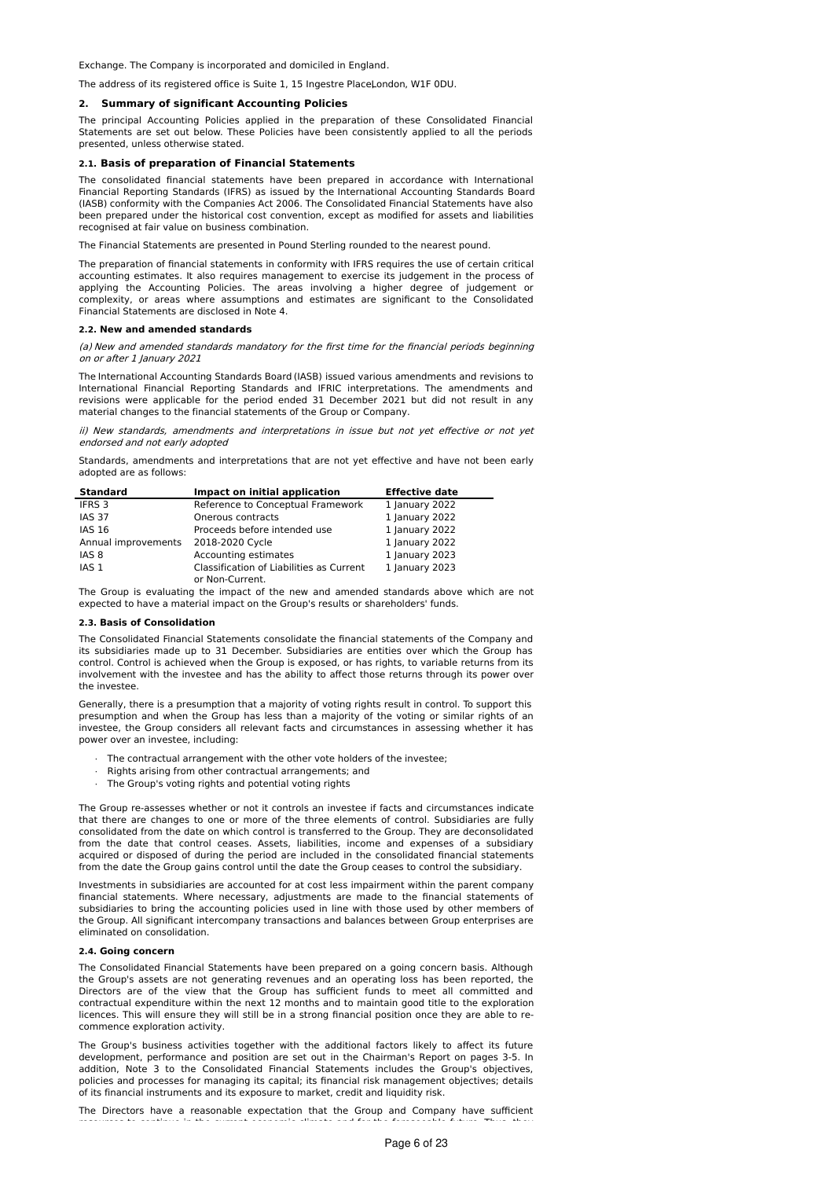Exchange. The Company is incorporated and domiciled in England.

The address of its registered office is Suite 1, 15 Ingestre PlaceLondon, W1F 0DU.

#### **2. Summary of significant Accounting Policies**

The principal Accounting Policies applied in the preparation of these Consolidated Financial Statements are set out below. These Policies have been consistently applied to all the periods presented, unless otherwise stated.

#### **2.1. Basis of preparation of Financial Statements**

The consolidated financial statements have been prepared in accordance with International Financial Reporting Standards (IFRS) as issued by the International Accounting Standards Board (IASB) conformity with the Companies Act 2006. The Consolidated Financial Statements have also been prepared under the historical cost convention, except as modified for assets and liabilities recognised at fair value on business combination.

The Financial Statements are presented in Pound Sterling rounded to the nearest pound.

The preparation of financial statements in conformity with IFRS requires the use of certain critical accounting estimates. It also requires management to exercise its judgement in the process of applying the Accounting Policies. The areas involving a higher degree of judgement or complexity, or areas where assumptions and estimates are significant to the Consolidated Financial Statements are disclosed in Note 4.

#### **2.2. New and amended standards**

(a) New and amended standards mandatory for the first time for the financial periods beginning on or after 1 January 2021

The International Accounting Standards Board (IASB) issued various amendments and revisions to International Financial Reporting Standards and IFRIC interpretations. The amendments and revisions were applicable for the period ended 31 December 2021 but did not result in any material changes to the financial statements of the Group or Company.

ii) New standards, amendments and interpretations in issue but not yet effective or not yet endorsed and not early adopted

Standards, amendments and interpretations that are not yet effective and have not been early adopted are as follows:

| Impact on initial application                               | <b>Effective date</b> |
|-------------------------------------------------------------|-----------------------|
| Reference to Conceptual Framework                           | 1 January 2022        |
| Onerous contracts                                           | 1 January 2022        |
| Proceeds before intended use                                | 1 January 2022        |
| 2018-2020 Cycle                                             | 1 January 2022        |
| Accounting estimates                                        | 1 January 2023        |
| Classification of Liabilities as Current<br>or Non-Current. | 1 January 2023        |
|                                                             |                       |

The Group is evaluating the impact of the new and amended standards above which are not expected to have a material impact on the Group's results or shareholders' funds.

#### **2.3. Basis of Consolidation**

The Consolidated Financial Statements consolidate the financial statements of the Company and its subsidiaries made up to 31 December. Subsidiaries are entities over which the Group has control. Control is achieved when the Group is exposed, or has rights, to variable returns from its involvement with the investee and has the ability to affect those returns through its power over the investee.

Generally, there is a presumption that a majority of voting rights result in control. To support this presumption and when the Group has less than a majority of the voting or similar rights of an investee, the Group considers all relevant facts and circumstances in assessing whether it has power over an investee, including:

- · The contractual arrangement with the other vote holders of the investee;
- Rights arising from other contractual arrangements; and
- The Group's voting rights and potential voting rights

The Group re-assesses whether or not it controls an investee if facts and circumstances indicate that there are changes to one or more of the three elements of control. Subsidiaries are fully consolidated from the date on which control is transferred to the Group. They are deconsolidated from the date that control ceases. Assets, liabilities, income and expenses of a subsidiary acquired or disposed of during the period are included in the consolidated financial statements from the date the Group gains control until the date the Group ceases to control the subsidiary.

Investments in subsidiaries are accounted for at cost less impairment within the parent company financial statements. Where necessary, adjustments are made to the financial statements of subsidiaries to bring the accounting policies used in line with those used by other members of the Group. All significant intercompany transactions and balances between Group enterprises are eliminated on consolidation.

# **2.4. Going concern**

The Consolidated Financial Statements have been prepared on a going concern basis. Although the Group's assets are not generating revenues and an operating loss has been reported, the Directors are of the view that the Group has sufficient funds to meet all committed and contractual expenditure within the next 12 months and to maintain good title to the exploration licences. This will ensure they will still be in a strong financial position once they are able to recommence exploration activity.

The Group's business activities together with the additional factors likely to affect its future development, performance and position are set out in the Chairman's Report on pages 3-5. In addition, Note 3 to the Consolidated Financial Statements includes the Group's objectives, policies and processes for managing its capital; its financial risk management objectives; details of its financial instruments and its exposure to market, credit and liquidity risk.

The Directors have a reasonable expectation that the Group and Company have sufficient resources to continue in the current economic climate and for the foreseeable future. Thus, they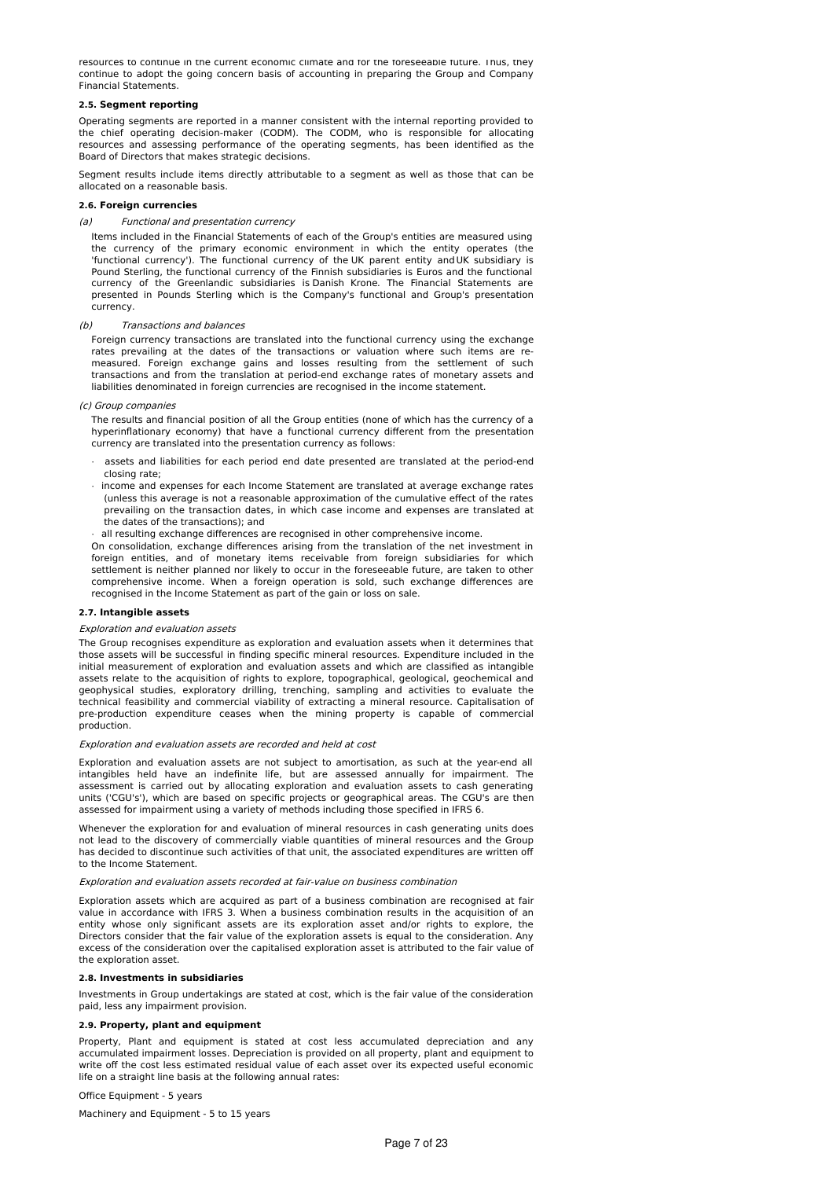resources to continue in the current economic climate and for the foreseeable future. Thus, they continue to adopt the going concern basis of accounting in preparing the Group and Company Financial Statements.

# **2.5. Segment reporting**

Operating segments are reported in a manner consistent with the internal reporting provided to the chief operating decision-maker (CODM). The CODM, who is responsible for allocating resources and assessing performance of the operating segments, has been identified as the Board of Directors that makes strategic decisions.

Segment results include items directly attributable to a segment as well as those that can be allocated on a reasonable basis.

# **2.6. Foreign currencies**

# (a) Functional and presentation currency

Items included in the Financial Statements of each of the Group's entities are measured using the currency of the primary economic environment in which the entity operates (the 'functional currency'). The functional currency of the UK parent entity and UK subsidiary is Pound Sterling, the functional currency of the Finnish subsidiaries is Euros and the functional currency of the Greenlandic subsidiaries is Danish Krone. The Financial Statements are presented in Pounds Sterling which is the Company's functional and Group's presentation currency.

### (b) Transactions and balances

Foreign currency transactions are translated into the functional currency using the exchange rates prevailing at the dates of the transactions or valuation where such items are remeasured. Foreign exchange gains and losses resulting from the settlement of such transactions and from the translation at period-end exchange rates of monetary assets and liabilities denominated in foreign currencies are recognised in the income statement.

#### (c) Group companies

The results and financial position of all the Group entities (none of which has the currency of a hyperinflationary economy) that have a functional currency different from the presentation currency are translated into the presentation currency as follows:

- · assets and liabilities for each period end date presented are translated at the period-end closing rate;
- · income and expenses for each Income Statement are translated at average exchange rates (unless this average is not a reasonable approximation of the cumulative effect of the rates prevailing on the transaction dates, in which case income and expenses are translated at the dates of the transactions); and
- all resulting exchange differences are recognised in other comprehensive income.

On consolidation, exchange differences arising from the translation of the net investment in foreign entities, and of monetary items receivable from foreign subsidiaries for which settlement is neither planned nor likely to occur in the foreseeable future, are taken to other comprehensive income. When a foreign operation is sold, such exchange differences are recognised in the Income Statement as part of the gain or loss on sale.

# **2.7. Intangible assets**

#### Exploration and evaluation assets

The Group recognises expenditure as exploration and evaluation assets when it determines that those assets will be successful in finding specific mineral resources. Expenditure included in the initial measurement of exploration and evaluation assets and which are classified as intangible assets relate to the acquisition of rights to explore, topographical, geological, geochemical and geophysical studies, exploratory drilling, trenching, sampling and activities to evaluate the technical feasibility and commercial viability of extracting a mineral resource. Capitalisation of pre-production expenditure ceases when the mining property is capable of commercial production.

# Exploration and evaluation assets are recorded and held at cost

Exploration and evaluation assets are not subject to amortisation, as such at the year-end all intangibles held have an indefinite life, but are assessed annually for impairment. The assessment is carried out by allocating exploration and evaluation assets to cash generating units ('CGU's'), which are based on specific projects or geographical areas. The CGU's are then assessed for impairment using a variety of methods including those specified in IFRS 6.

Whenever the exploration for and evaluation of mineral resources in cash generating units does not lead to the discovery of commercially viable quantities of mineral resources and the Group has decided to discontinue such activities of that unit, the associated expenditures are written off to the Income Statement.

#### Exploration and evaluation assets recorded at fair-value on business combination

Exploration assets which are acquired as part of a business combination are recognised at fair value in accordance with IFRS 3. When a business combination results in the acquisition of an entity whose only significant assets are its exploration asset and/or rights to explore, the Directors consider that the fair value of the exploration assets is equal to the consideration. Any excess of the consideration over the capitalised exploration asset is attributed to the fair value of the exploration asset.

# **2.8. Investments in subsidiaries**

Investments in Group undertakings are stated at cost, which is the fair value of the consideration paid, less any impairment provision.

# **2.9. Property, plant and equipment**

Property, Plant and equipment is stated at cost less accumulated depreciation and any accumulated impairment losses. Depreciation is provided on all property, plant and equipment to write off the cost less estimated residual value of each asset over its expected useful economic life on a straight line basis at the following annual rates:

# Office Equipment - 5 years

Machinery and Equipment - 5 to 15 years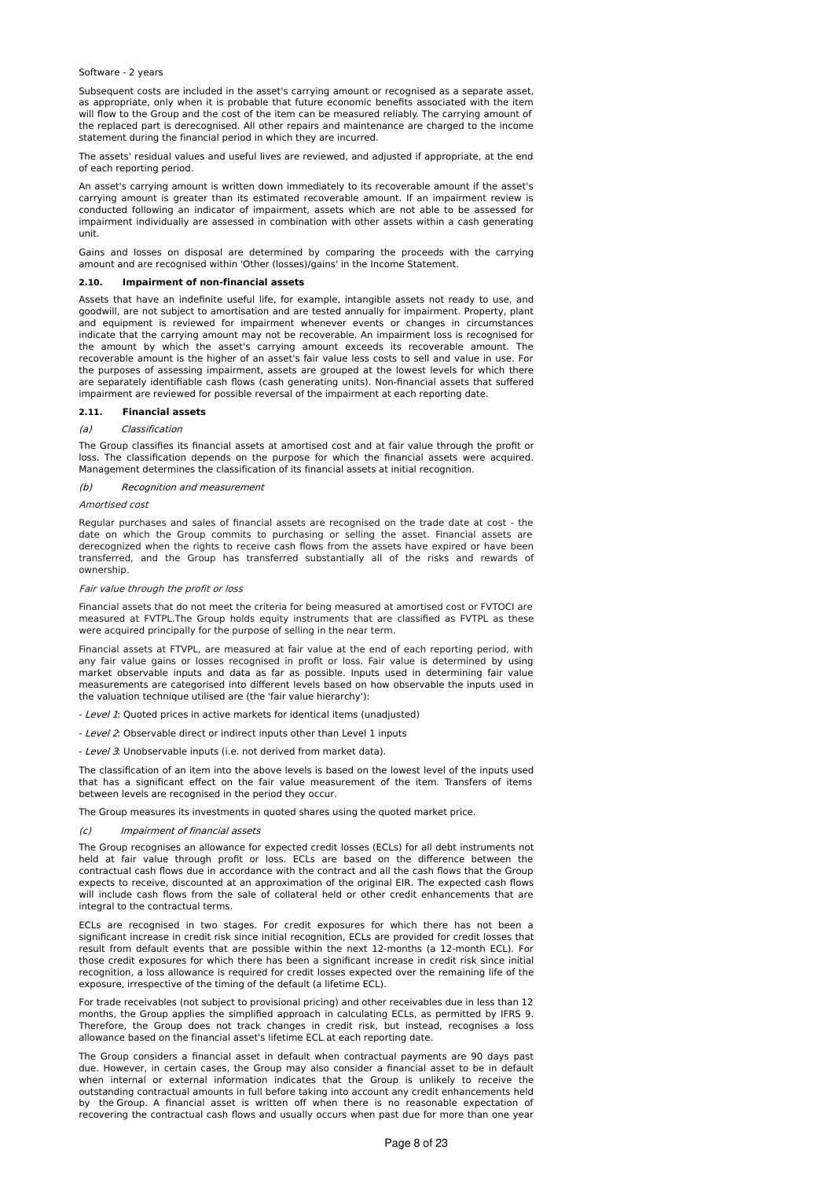#### Software - 2 years

Subsequent costs are included in the asset's carrying amount or recognised as a separate asset. as appropriate, only when it is probable that future economic benefits associated with the item will flow to the Group and the cost of the item can be measured reliably. The carrying amount of the replaced part is derecognised. All other repairs and maintenance are charged to the income statement during the financial period in which they are incurred.

The assets' residual values and useful lives are reviewed, and adjusted if appropriate, at the end of each reporting period.

An asset's carrying amount is written down immediately to its recoverable amount if the asset's carrying amount is greater than its estimated recoverable amount. If an impairment review is conducted following an indicator of impairment, assets which are not able to be assessed for impairment individually are assessed in combination with other assets within a cash generating unit.

Gains and losses on disposal are determined by comparing the proceeds with the carrying amount and are recognised within 'Other (losses)/gains' in the Income Statement.

### **2.10. Impairment of non-financial assets**

Assets that have an indefinite useful life, for example, intangible assets not ready to use, and goodwill, are not subject to amortisation and are tested annually for impairment. Property, plant and equipment is reviewed for impairment whenever events or changes in circumstances indicate that the carrying amount may not be recoverable. An impairment loss is recognised for the amount by which the asset's carrying amount exceeds its recoverable amount. The recoverable amount is the higher of an asset's fair value less costs to sell and value in use. For the purposes of assessing impairment, assets are grouped at the lowest levels for which there are separately identifiable cash flows (cash generating units). Non-financial assets that suffered impairment are reviewed for possible reversal of the impairment at each reporting date.

### **2.11. Financial assets**

### (a) Classification

The Group classifies its financial assets at amortised cost and at fair value through the profit or loss. The classification depends on the purpose for which the financial assets were acquired. Management determines the classification of its financial assets at initial recognition.

#### (b) Recognition and measurement

#### Amortised cost

Regular purchases and sales of financial assets are recognised on the trade date at cost - the date on which the Group commits to purchasing or selling the asset. Financial assets are derecognized when the rights to receive cash flows from the assets have expired or have been transferred, and the Group has transferred substantially all of the risks and rewards of ownership.

#### Fair value through the profit or loss

Financial assets that do not meet the criteria for being measured at amortised cost or FVTOCI are measured at FVTPL.The Group holds equity instruments that are classified as FVTPL as these were acquired principally for the purpose of selling in the near term.

Financial assets at FTVPL, are measured at fair value at the end of each reporting period, with any fair value gains or losses recognised in profit or loss. Fair value is determined by using market observable inputs and data as far as possible. Inputs used in determining fair value measurements are categorised into different levels based on how observable the inputs used in the valuation technique utilised are (the 'fair value hierarchy'):

- Level 1: Quoted prices in active markets for identical items (unadjusted)

- Level 2: Observable direct or indirect inputs other than Level 1 inputs

- Level 3: Unobservable inputs (i.e. not derived from market data).

The classification of an item into the above levels is based on the lowest level of the inputs used that has a significant effect on the fair value measurement of the item. Transfers of items between levels are recognised in the period they occur.

The Group measures its investments in quoted shares using the quoted market price.

#### (c) Impairment of financial assets

The Group recognises an allowance for expected credit losses (ECLs) for all debt instruments not held at fair value through profit or loss. ECLs are based on the difference between the contractual cash flows due in accordance with the contract and all the cash flows that the Group expects to receive, discounted at an approximation of the original EIR. The expected cash flows will include cash flows from the sale of collateral held or other credit enhancements that are integral to the contractual terms.

ECLs are recognised in two stages. For credit exposures for which there has not been a significant increase in credit risk since initial recognition, ECLs are provided for credit losses that result from default events that are possible within the next 12-months (a 12-month ECL). For those credit exposures for which there has been a significant increase in credit risk since initial recognition, a loss allowance is required for credit losses expected over the remaining life of the exposure, irrespective of the timing of the default (a lifetime ECL).

For trade receivables (not subject to provisional pricing) and other receivables due in less than 12 months, the Group applies the simplified approach in calculating ECLs, as permitted by IFRS 9. Therefore, the Group does not track changes in credit risk, but instead, recognises a loss allowance based on the financial asset's lifetime ECL at each reporting date.

The Group considers a financial asset in default when contractual payments are 90 days past due. However, in certain cases, the Group may also consider a financial asset to be in default when internal or external information indicates that the Group is unlikely to receive the outstanding contractual amounts in full before taking into account any credit enhancements held by the Group. A financial asset is written off when there is no reasonable expectation of recovering the contractual cash flows and usually occurs when past due for more than one year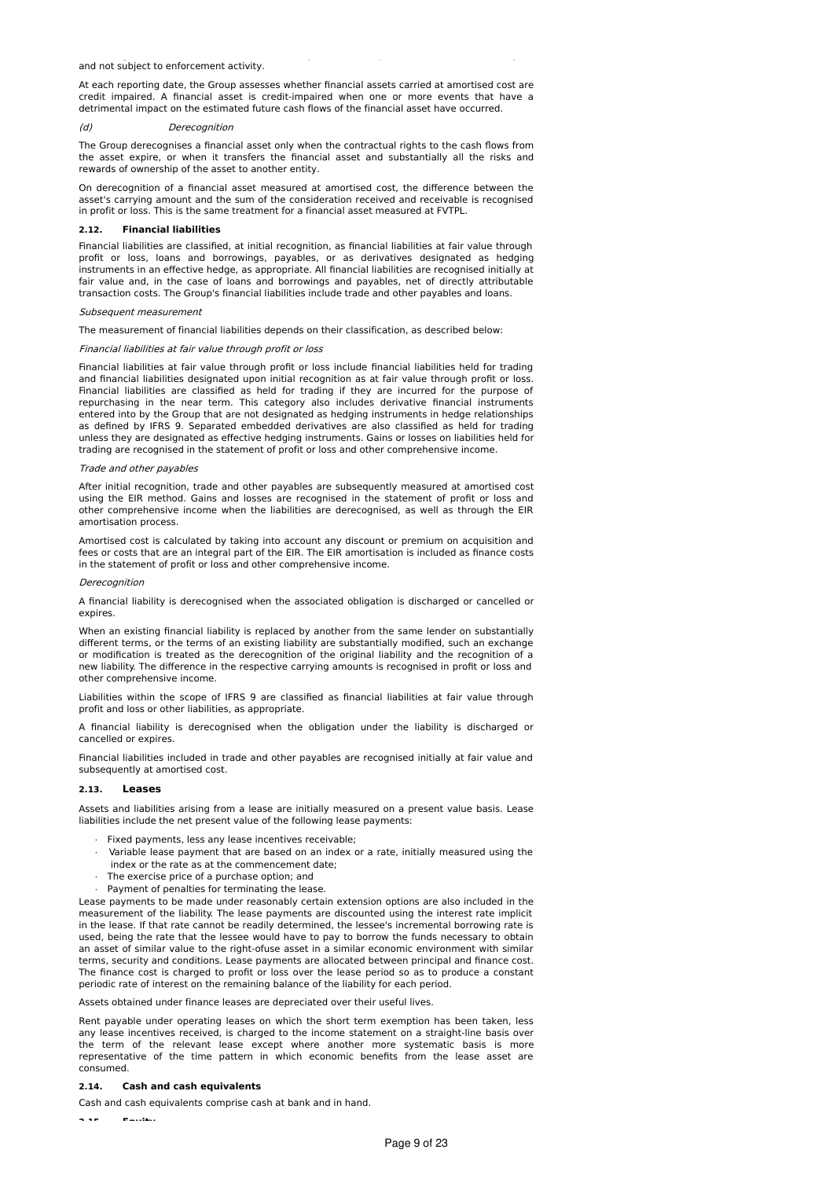and not subject to enforcement activity.

At each reporting date, the Group assesses whether financial assets carried at amortised cost are credit impaired. A financial asset is credit-impaired when one or more events that have a detrimental impact on the estimated future cash flows of the financial asset have occurred.

#### (d) Derecognition

The Group derecognises a financial asset only when the contractual rights to the cash flows from the asset expire, or when it transfers the financial asset and substantially all the risks and rewards of ownership of the asset to another entity.

On derecognition of a financial asset measured at amortised cost, the difference between the asset's carrying amount and the sum of the consideration received and receivable is recognised in profit or loss. This is the same treatment for a financial asset measured at FVTPL.

#### **2.12. Financial liabilities**

Financial liabilities are classified, at initial recognition, as financial liabilities at fair value through profit or loss, loans and borrowings, payables, or as derivatives designated as hedging instruments in an effective hedge, as appropriate. All financial liabilities are recognised initially at fair value and, in the case of loans and borrowings and payables, net of directly attributable transaction costs. The Group's financial liabilities include trade and other payables and loans.

# Subsequent measurement

The measurement of financial liabilities depends on their classification, as described below:

### Financial liabilities at fair value through profit or loss

Financial liabilities at fair value through profit or loss include financial liabilities held for trading and financial liabilities designated upon initial recognition as at fair value through profit or loss. Financial liabilities are classified as held for trading if they are incurred for the purpose of repurchasing in the near term. This category also includes derivative financial instruments entered into by the Group that are not designated as hedging instruments in hedge relationships as defined by IFRS 9. Separated embedded derivatives are also classified as held for trading unless they are designated as effective hedging instruments. Gains or losses on liabilities held for trading are recognised in the statement of profit or loss and other comprehensive income.

#### Trade and other payables

After initial recognition, trade and other payables are subsequently measured at amortised cost using the EIR method. Gains and losses are recognised in the statement of profit or loss and other comprehensive income when the liabilities are derecognised, as well as through the EIR amortisation process.

Amortised cost is calculated by taking into account any discount or premium on acquisition and fees or costs that are an integral part of the EIR. The EIR amortisation is included as finance costs in the statement of profit or loss and other comprehensive income.

#### **Derecognition**

A financial liability is derecognised when the associated obligation is discharged or cancelled or expires.

When an existing financial liability is replaced by another from the same lender on substantially different terms, or the terms of an existing liability are substantially modified, such an exchange or modification is treated as the derecognition of the original liability and the recognition of a new liability. The difference in the respective carrying amounts is recognised in profit or loss and other comprehensive income.

Liabilities within the scope of IFRS 9 are classified as financial liabilities at fair value through profit and loss or other liabilities, as appropriate.

A financial liability is derecognised when the obligation under the liability is discharged or cancelled or expires.

Financial liabilities included in trade and other payables are recognised initially at fair value and subsequently at amortised cost.

### **2.13. Leases**

Assets and liabilities arising from a lease are initially measured on a present value basis. Lease liabilities include the net present value of the following lease payments:

- Fixed payments, less any lease incentives receivable;
- · Variable lease payment that are based on an index or a rate, initially measured using the index or the rate as at the commencement date;
- The exercise price of a purchase option; and
- Payment of penalties for terminating the lease.

Lease payments to be made under reasonably certain extension options are also included in the measurement of the liability. The lease payments are discounted using the interest rate implicit in the lease. If that rate cannot be readily determined, the lessee's incremental borrowing rate is used, being the rate that the lessee would have to pay to borrow the funds necessary to obtain an asset of similar value to the right-ofuse asset in a similar economic environment with similar terms, security and conditions. Lease payments are allocated between principal and finance cost. The finance cost is charged to profit or loss over the lease period so as to produce a constant periodic rate of interest on the remaining balance of the liability for each period.

Assets obtained under finance leases are depreciated over their useful lives.

Rent payable under operating leases on which the short term exemption has been taken, less any lease incentives received, is charged to the income statement on a straight-line basis over the term of the relevant lease except where another more systematic basis is more representative of the time pattern in which economic benefits from the lease asset are consumed.

#### **2.14. Cash and cash equivalents**

Cash and cash equivalents comprise cash at bank and in hand.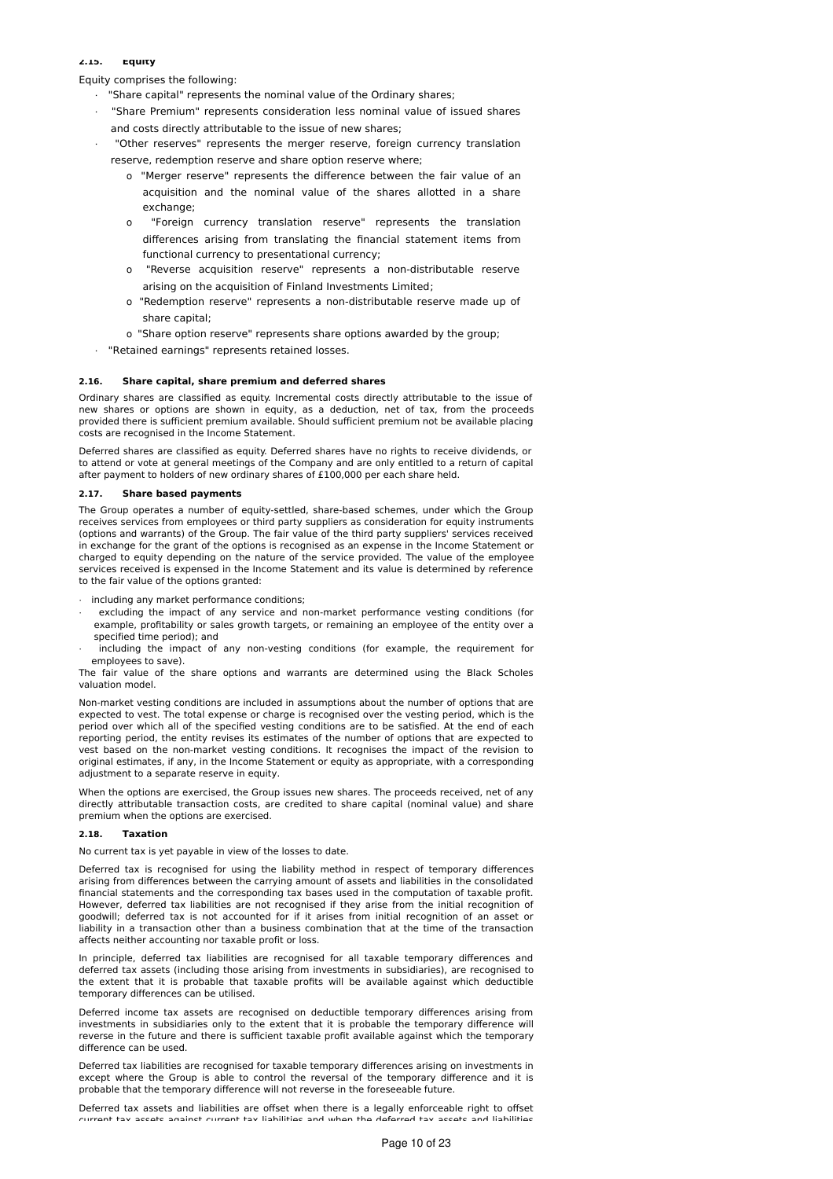# **2.15. Equity**

Equity comprises the following:

- · "Share capital" represents the nominal value of the Ordinary shares;
- · "Share Premium" represents consideration less nominal value of issued shares and costs directly attributable to the issue of new shares;
- · "Other reserves" represents the merger reserve, foreign currency translation reserve, redemption reserve and share option reserve where;
	- o "Merger reserve" represents the difference between the fair value of an acquisition and the nominal value of the shares allotted in a share exchange;
	- "Foreign currency translation reserve" represents the translation differences arising from translating the financial statement items from functional currency to presentational currency;
	- o "Reverse acquisition reserve" represents a non-distributable reserve arising on the acquisition of Finland Investments Limited;
	- o "Redemption reserve" represents a non-distributable reserve made up of share capital;
	- o "Share option reserve" represents share options awarded by the group;
- · "Retained earnings" represents retained losses.

# **2.16. Share capital, share premium and deferred shares**

Ordinary shares are classified as equity. Incremental costs directly attributable to the issue of new shares or options are shown in equity, as a deduction, net of tax, from the proceeds provided there is sufficient premium available. Should sufficient premium not be available placing costs are recognised in the Income Statement.

Deferred shares are classified as equity. Deferred shares have no rights to receive dividends, or to attend or vote at general meetings of the Company and are only entitled to a return of capital after payment to holders of new ordinary shares of £100,000 per each share held.

### **2.17. Share based payments**

The Group operates a number of equity-settled, share-based schemes, under which the Group receives services from employees or third party suppliers as consideration for equity instruments (options and warrants) of the Group. The fair value of the third party suppliers' services received in exchange for the grant of the options is recognised as an expense in the Income Statement or charged to equity depending on the nature of the service provided. The value of the employee services received is expensed in the Income Statement and its value is determined by reference to the fair value of the options granted:

· including any market performance conditions;

- excluding the impact of any service and non-market performance vesting conditions (for example, profitability or sales growth targets, or remaining an employee of the entity over a specified time period); and
- including the impact of any non-vesting conditions (for example, the requirement for employees to save).

The fair value of the share options and warrants are determined using the Black Scholes valuation model.

Non-market vesting conditions are included in assumptions about the number of options that are expected to vest. The total expense or charge is recognised over the vesting period, which is the period over which all of the specified vesting conditions are to be satisfied. At the end of each reporting period, the entity revises its estimates of the number of options that are expected to vest based on the non-market vesting conditions. It recognises the impact of the revision to original estimates, if any, in the Income Statement or equity as appropriate, with a corresponding adjustment to a separate reserve in equity.

When the options are exercised, the Group issues new shares. The proceeds received, net of any directly attributable transaction costs, are credited to share capital (nominal value) and share premium when the options are exercised.

# **2.18. Taxation**

No current tax is yet payable in view of the losses to date.

Deferred tax is recognised for using the liability method in respect of temporary differences arising from differences between the carrying amount of assets and liabilities in the consolidated financial statements and the corresponding tax bases used in the computation of taxable profit. However, deferred tax liabilities are not recognised if they arise from the initial recognition of goodwill; deferred tax is not accounted for if it arises from initial recognition of an asset or liability in a transaction other than a business combination that at the time of the transaction affects neither accounting nor taxable profit or loss.

In principle, deferred tax liabilities are recognised for all taxable temporary differences and deferred tax assets (including those arising from investments in subsidiaries), are recognised to the extent that it is probable that taxable profits will be available against which deductible temporary differences can be utilised.

Deferred income tax assets are recognised on deductible temporary differences arising from investments in subsidiaries only to the extent that it is probable the temporary difference will reverse in the future and there is sufficient taxable profit available against which the temporary difference can be used.

Deferred tax liabilities are recognised for taxable temporary differences arising on investments in except where the Group is able to control the reversal of the temporary difference and it is probable that the temporary difference will not reverse in the foreseeable future.

Deferred tax assets and liabilities are offset when there is a legally enforceable right to offset current tax accete against current tax liabilities and when the deferred tax accets and liabilities.  $\overline{\phantom{a}}$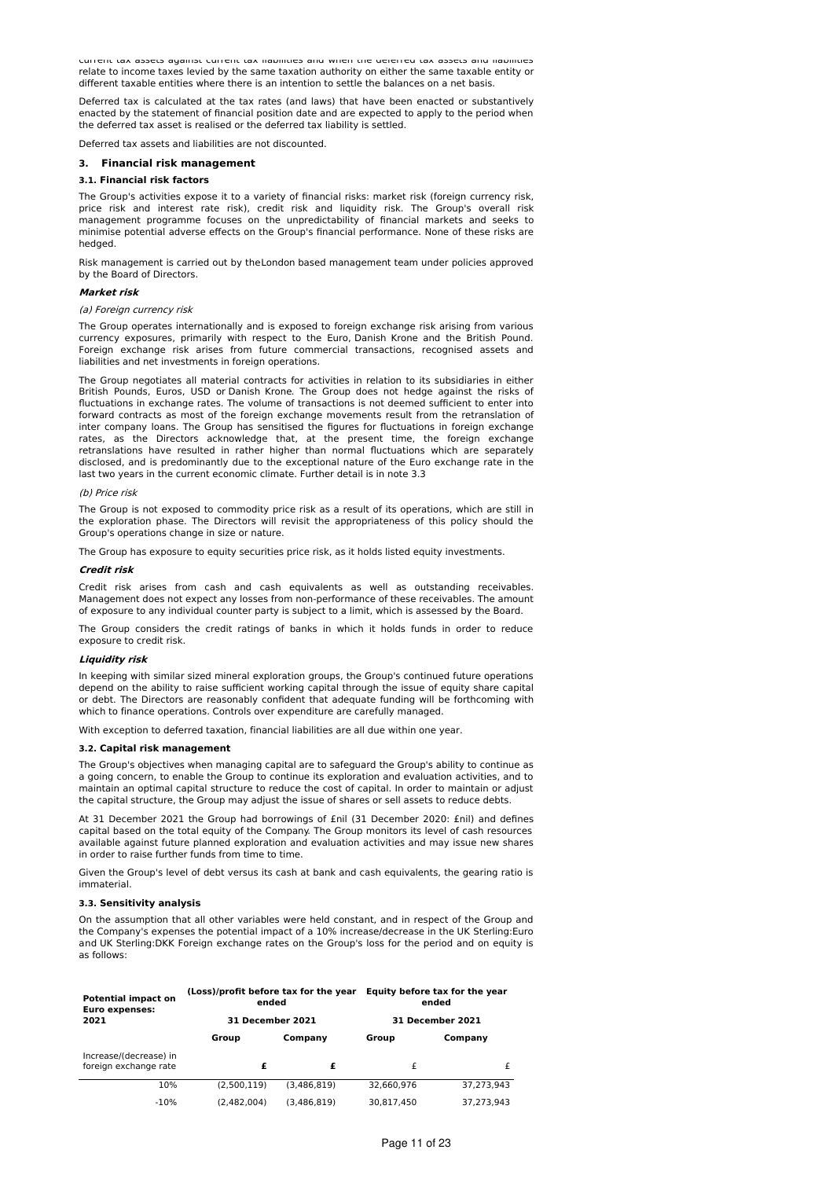current tax assets against current tax liabilities and when the deferred tax assets and liabilities relate to income taxes levied by the same taxation authority on either the same taxable entity or different taxable entities where there is an intention to settle the balances on a net basis.

Deferred tax is calculated at the tax rates (and laws) that have been enacted or substantively enacted by the statement of financial position date and are expected to apply to the period when the deferred tax asset is realised or the deferred tax liability is settled.

Deferred tax assets and liabilities are not discounted.

#### **3. Financial risk management**

### **3.1. Financial risk factors**

The Group's activities expose it to a variety of financial risks: market risk (foreign currency risk, price risk and interest rate risk), credit risk and liquidity risk. The Group's overall risk management programme focuses on the unpredictability of financial markets and seeks to minimise potential adverse effects on the Group's financial performance. None of these risks are hedged.

Risk management is carried out by theLondon based management team under policies approved by the Board of Directors.

#### **Market risk**

### (a) Foreign currency risk

The Group operates internationally and is exposed to foreign exchange risk arising from various currency exposures, primarily with respect to the Euro, Danish Krone and the British Pound. Foreign exchange risk arises from future commercial transactions, recognised assets and liabilities and net investments in foreign operations.

The Group negotiates all material contracts for activities in relation to its subsidiaries in either British Pounds, Euros, USD or Danish Krone. The Group does not hedge against the risks of fluctuations in exchange rates. The volume of transactions is not deemed sufficient to enter into forward contracts as most of the foreign exchange movements result from the retranslation of inter company loans. The Group has sensitised the figures for fluctuations in foreign exchange rates, as the Directors acknowledge that, at the present time, the foreign exchange retranslations have resulted in rather higher than normal fluctuations which are separately disclosed, and is predominantly due to the exceptional nature of the Euro exchange rate in the last two years in the current economic climate. Further detail is in note 3.3

#### (b) Price risk

The Group is not exposed to commodity price risk as a result of its operations, which are still in the exploration phase. The Directors will revisit the appropriateness of this policy should the Group's operations change in size or nature.

The Group has exposure to equity securities price risk, as it holds listed equity investments.

### **Credit risk**

Credit risk arises from cash and cash equivalents as well as outstanding receivables. Management does not expect any losses from non-performance of these receivables. The amount of exposure to any individual counter party is subject to a limit, which is assessed by the Board.

The Group considers the credit ratings of banks in which it holds funds in order to reduce exposure to credit risk.

#### **Liquidity risk**

In keeping with similar sized mineral exploration groups, the Group's continued future operations depend on the ability to raise sufficient working capital through the issue of equity share capital or debt. The Directors are reasonably confident that adequate funding will be forthcoming with which to finance operations. Controls over expenditure are carefully managed.

With exception to deferred taxation, financial liabilities are all due within one year.

#### **3.2. Capital risk management**

The Group's objectives when managing capital are to safeguard the Group's ability to continue as a going concern, to enable the Group to continue its exploration and evaluation activities, and to maintain an optimal capital structure to reduce the cost of capital. In order to maintain or adjust the capital structure, the Group may adjust the issue of shares or sell assets to reduce debts.

At 31 December 2021 the Group had borrowings of £nil (31 December 2020: £nil) and defines capital based on the total equity of the Company. The Group monitors its level of cash resources available against future planned exploration and evaluation activities and may issue new shares in order to raise further funds from time to time.

Given the Group's level of debt versus its cash at bank and cash equivalents, the gearing ratio is immaterial.

### **3.3. Sensitivity analysis**

On the assumption that all other variables were held constant, and in respect of the Group and the Company's expenses the potential impact of a 10% increase/decrease in the UK Sterling:Euro and UK Sterling:DKK Foreign exchange rates on the Group's loss for the period and on equity is as follows:

| <b>Potential impact on</b><br><b>Euro expenses:</b> | (Loss)/profit before tax for the year<br>ended |             | Equity before tax for the year<br>ended<br><b>31 December 2021</b> |            |  |
|-----------------------------------------------------|------------------------------------------------|-------------|--------------------------------------------------------------------|------------|--|
| 2021                                                | 31 December 2021                               |             |                                                                    |            |  |
|                                                     | Group                                          | Company     | Group                                                              | Company    |  |
| Increase/(decrease) in<br>foreign exchange rate     | £                                              | £           | £                                                                  | £          |  |
| 10%                                                 | (2.500.119)                                    | (3.486.819) | 32,660,976                                                         | 37.273.943 |  |
| $-10%$                                              | (2.482.004)                                    | (3.486.819) | 30.817.450                                                         | 37.273.943 |  |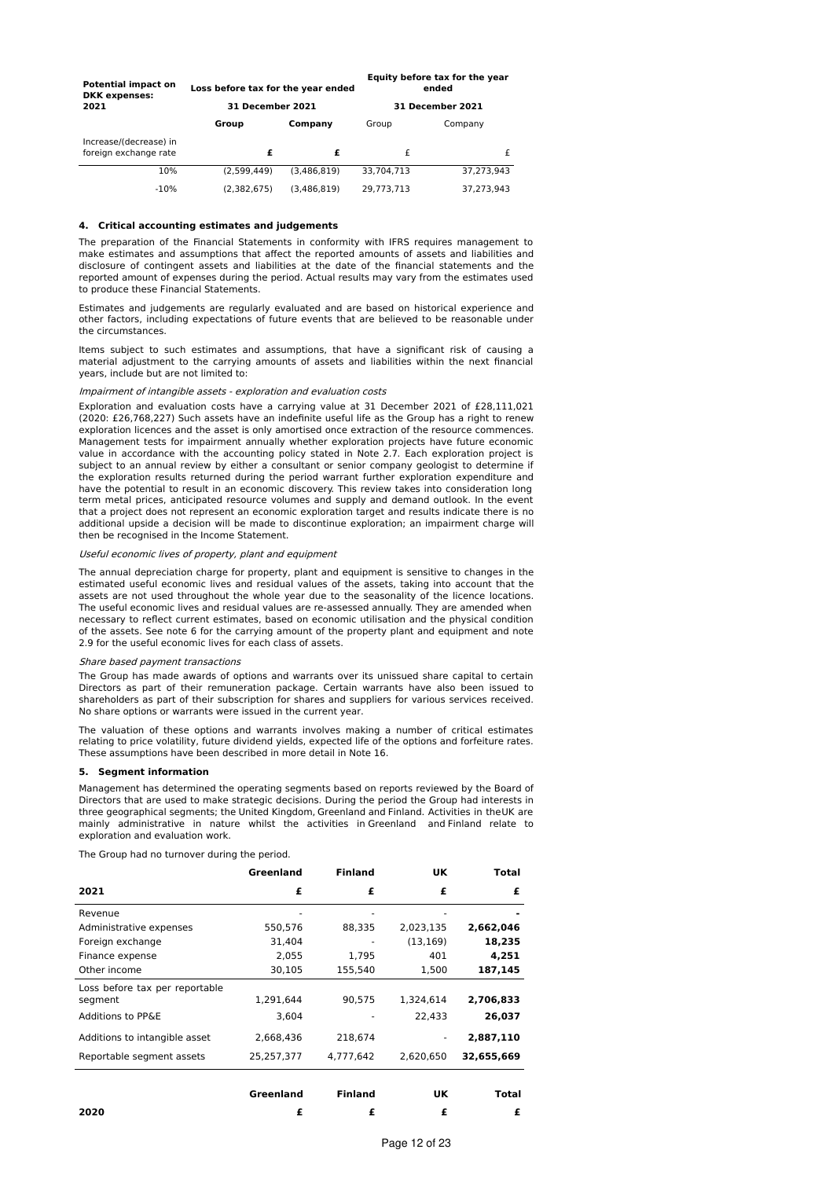| <b>Potential impact on</b><br><b>DKK</b> expenses: | Loss before tax for the year ended |             | Equity before tax for the year<br>ended |                         |  |
|----------------------------------------------------|------------------------------------|-------------|-----------------------------------------|-------------------------|--|
| 2021                                               | <b>31 December 2021</b>            |             |                                         | <b>31 December 2021</b> |  |
|                                                    | Group                              | Company     | Group                                   | Company                 |  |
| Increase/(decrease) in<br>foreign exchange rate    | £                                  | £           | £                                       | £                       |  |
| 10%                                                | (2.599.449)                        | (3.486.819) | 33.704.713                              | 37.273.943              |  |
| $-10%$                                             | (2,382,675)                        | (3.486.819) | 29.773.713                              | 37.273.943              |  |

### **4. Critical accounting estimates and judgements**

The preparation of the Financial Statements in conformity with IFRS requires management to make estimates and assumptions that affect the reported amounts of assets and liabilities and disclosure of contingent assets and liabilities at the date of the financial statements and the reported amount of expenses during the period. Actual results may vary from the estimates used to produce these Financial Statements.

Estimates and judgements are regularly evaluated and are based on historical experience and other factors, including expectations of future events that are believed to be reasonable under the circumstances.

Items subject to such estimates and assumptions, that have a significant risk of causing a material adjustment to the carrying amounts of assets and liabilities within the next financial years, include but are not limited to:

# Impairment of intangible assets - exploration and evaluation costs

Exploration and evaluation costs have a carrying value at 31 December 2021 of £28,111,021 (2020: £26,768,227) Such assets have an indefinite useful life as the Group has a right to renew exploration licences and the asset is only amortised once extraction of the resource commences. Management tests for impairment annually whether exploration projects have future economic value in accordance with the accounting policy stated in Note 2.7. Each exploration project is subject to an annual review by either a consultant or senior company geologist to determine if the exploration results returned during the period warrant further exploration expenditure and have the potential to result in an economic discovery. This review takes into consideration long term metal prices, anticipated resource volumes and supply and demand outlook. In the event that a project does not represent an economic exploration target and results indicate there is no additional upside a decision will be made to discontinue exploration; an impairment charge will then be recognised in the Income Statement.

### Useful economic lives of property, plant and equipment

The annual depreciation charge for property, plant and equipment is sensitive to changes in the estimated useful economic lives and residual values of the assets, taking into account that the assets are not used throughout the whole year due to the seasonality of the licence locations. The useful economic lives and residual values are re-assessed annually. They are amended when necessary to reflect current estimates, based on economic utilisation and the physical condition of the assets. See note 6 for the carrying amount of the property plant and equipment and note 2.9 for the useful economic lives for each class of assets.

#### Share based payment transactions

The Group has made awards of options and warrants over its unissued share capital to certain Directors as part of their remuneration package. Certain warrants have also been issued to shareholders as part of their subscription for shares and suppliers for various services received. No share options or warrants were issued in the current year.

The valuation of these options and warrants involves making a number of critical estimates relating to price volatility, future dividend yields, expected life of the options and forfeiture rates. These assumptions have been described in more detail in Note 16.

#### **5. Segment information**

Management has determined the operating segments based on reports reviewed by the Board of Directors that are used to make strategic decisions. During the period the Group had interests in three geographical segments; the United Kingdom, Greenland and Finland. Activities in theUK are mainly administrative in nature whilst the activities in Greenland and Finland relate to exploration and evaluation work.

The Group had no turnover during the period.

|                                           | Greenland  | <b>Finland</b> | UK        | Total      |
|-------------------------------------------|------------|----------------|-----------|------------|
| 2021                                      | £          | £              | £         | £          |
| Revenue                                   |            |                |           |            |
| Administrative expenses                   | 550,576    | 88,335         | 2,023,135 | 2,662,046  |
| Foreign exchange                          | 31,404     |                | (13, 169) | 18,235     |
| Finance expense                           | 2.055      | 1.795          | 401       | 4.251      |
| Other income                              | 30,105     | 155,540        | 1,500     | 187,145    |
| Loss before tax per reportable<br>segment | 1,291,644  | 90,575         | 1,324,614 | 2,706,833  |
| Additions to PP&E                         | 3.604      |                | 22.433    | 26,037     |
| Additions to intangible asset             | 2.668.436  | 218.674        |           | 2,887,110  |
| Reportable segment assets                 | 25,257,377 | 4.777.642      | 2.620.650 | 32,655,669 |
|                                           | Greenland  | <b>Finland</b> | UK        | Total      |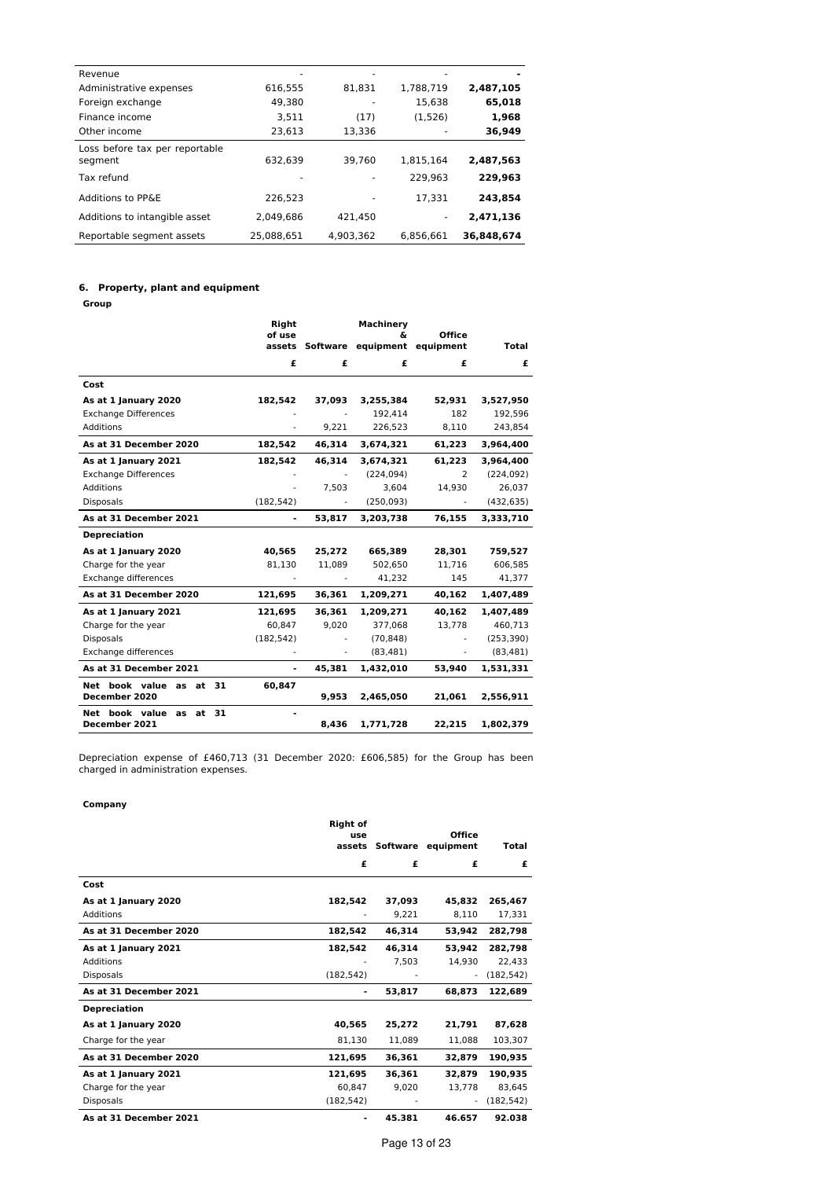| Revenue                                   |            |           |           |            |
|-------------------------------------------|------------|-----------|-----------|------------|
| Administrative expenses                   | 616,555    | 81.831    | 1,788,719 | 2,487,105  |
| Foreign exchange                          | 49.380     |           | 15.638    | 65,018     |
| Finance income                            | 3,511      | (17)      | (1,526)   | 1,968      |
| Other income                              | 23,613     | 13,336    |           | 36,949     |
| Loss before tax per reportable<br>segment | 632,639    | 39.760    | 1,815,164 | 2,487,563  |
| Tax refund                                |            |           | 229.963   | 229.963    |
| Additions to PP&E                         | 226.523    |           | 17.331    | 243.854    |
| Additions to intangible asset             | 2.049.686  | 421.450   |           | 2,471,136  |
| Reportable segment assets                 | 25.088.651 | 4.903.362 | 6.856.661 | 36,848,674 |

# **6. Property, plant and equipment**

**Group**

|                                                   | Right      |                 | Machinery       |                            |              |
|---------------------------------------------------|------------|-----------------|-----------------|----------------------------|--------------|
|                                                   | of use     | assets Software | δ.<br>equipment | <b>Office</b><br>equipment | <b>Total</b> |
|                                                   | £          | £               | £               | £                          | £            |
| Cost                                              |            |                 |                 |                            |              |
| As at 1 January 2020                              | 182,542    | 37,093          | 3,255,384       | 52,931                     | 3,527,950    |
| <b>Exchange Differences</b>                       |            |                 | 192.414         | 182                        | 192,596      |
| Additions                                         |            | 9,221           | 226,523         | 8,110                      | 243,854      |
| As at 31 December 2020                            | 182,542    | 46,314          | 3,674,321       | 61,223                     | 3,964,400    |
| As at 1 January 2021                              | 182,542    | 46,314          | 3,674,321       | 61,223                     | 3,964,400    |
| <b>Exchange Differences</b>                       |            |                 | (224, 094)      | $\overline{2}$             | (224, 092)   |
| <b>Additions</b>                                  |            | 7.503           | 3,604           | 14,930                     | 26,037       |
| <b>Disposals</b>                                  | (182, 542) |                 | (250, 093)      |                            | (432, 635)   |
| As at 31 December 2021                            |            | 53.817          | 3,203,738       | 76.155                     | 3,333,710    |
| <b>Depreciation</b>                               |            |                 |                 |                            |              |
| As at 1 January 2020                              | 40,565     | 25,272          | 665,389         | 28,301                     | 759,527      |
| Charge for the year                               | 81,130     | 11,089          | 502,650         | 11,716                     | 606,585      |
| Exchange differences                              |            |                 | 41,232          | 145                        | 41,377       |
| As at 31 December 2020                            | 121,695    | 36,361          | 1,209,271       | 40,162                     | 1,407,489    |
| As at 1 January 2021                              | 121,695    | 36.361          | 1,209,271       | 40,162                     | 1,407,489    |
| Charge for the year                               | 60,847     | 9,020           | 377.068         | 13,778                     | 460,713      |
| <b>Disposals</b>                                  | (182, 542) |                 | (70, 848)       |                            | (253, 390)   |
| Exchange differences                              |            |                 | (83, 481)       | ä,                         | (83, 481)    |
| As at 31 December 2021                            | ٠          | 45,381          | 1,432,010       | 53,940                     | 1,531,331    |
| Net book value as<br>31<br>at                     | 60,847     |                 |                 |                            |              |
| December 2020                                     |            | 9,953           | 2,465,050       | 21,061                     | 2,556,911    |
| 31<br>Net book value<br>at<br>as<br>December 2021 |            | 8,436           | 1,771,728       | 22,215                     | 1,802,379    |

Depreciation expense of £460,713 (31 December 2020: £606,585) for the Group has been charged in administration expenses.

# **Company**

|                        | <b>Right of</b><br>use |          | <b>Office</b> |              |
|------------------------|------------------------|----------|---------------|--------------|
|                        | assets                 | Software | equipment     | <b>Total</b> |
|                        | £                      | £        | £             | £            |
| Cost                   |                        |          |               |              |
| As at 1 January 2020   | 182,542                | 37,093   | 45,832        | 265,467      |
| Additions              |                        | 9,221    | 8,110         | 17,331       |
| As at 31 December 2020 | 182,542                | 46,314   | 53,942        | 282,798      |
| As at 1 January 2021   | 182,542                | 46.314   | 53.942        | 282,798      |
| <b>Additions</b>       |                        | 7,503    | 14,930        | 22,433       |
| <b>Disposals</b>       | (182, 542)             |          | ٠             | (182, 542)   |
| As at 31 December 2021 |                        | 53,817   | 68,873        | 122,689      |
| <b>Depreciation</b>    |                        |          |               |              |
| As at 1 January 2020   | 40,565                 | 25,272   | 21,791        | 87,628       |
| Charge for the year    | 81,130                 | 11,089   | 11,088        | 103,307      |
| As at 31 December 2020 | 121,695                | 36,361   | 32,879        | 190,935      |
| As at 1 January 2021   | 121.695                | 36.361   | 32.879        | 190,935      |
| Charge for the year    | 60,847                 | 9,020    | 13,778        | 83,645       |
| <b>Disposals</b>       | (182, 542)             |          | ٠             | (182, 542)   |
| As at 31 December 2021 | ٠                      | 45.381   | 46.657        | 92.038       |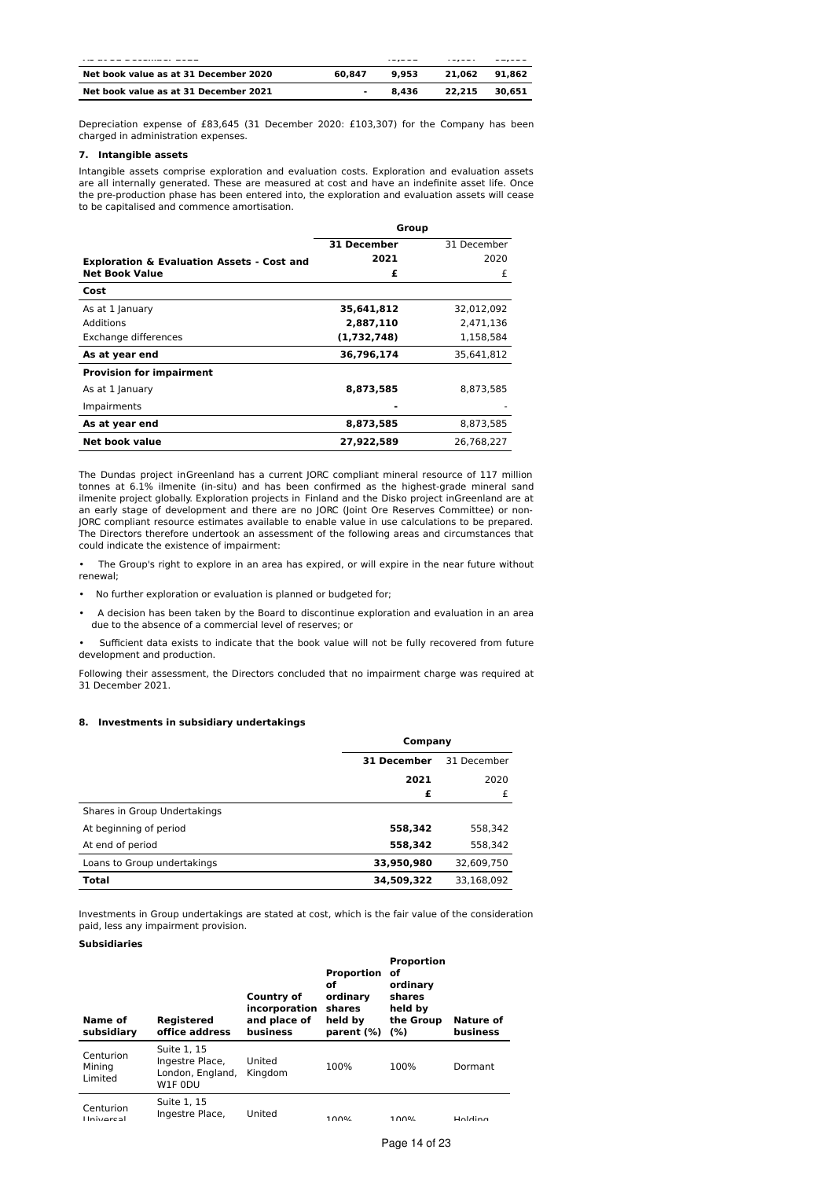|                                       |        |       | $- - - - -$ | ------ |
|---------------------------------------|--------|-------|-------------|--------|
| Net book value as at 31 December 2020 | 60.847 | 9.953 | 21.062      | 91.862 |
| Net book value as at 31 December 2021 | -      | 8.436 | 22.215      | 30.651 |

Depreciation expense of £83,645 (31 December 2020: £103,307) for the Company has been charged in administration expenses.

# **7. Intangible assets**

Intangible assets comprise exploration and evaluation costs. Exploration and evaluation assets are all internally generated. These are measured at cost and have an indefinite asset life. Once the pre-production phase has been entered into, the exploration and evaluation assets will cease to be capitalised and commence amortisation.

|                                                       |             | Group       |
|-------------------------------------------------------|-------------|-------------|
|                                                       | 31 December | 31 December |
| <b>Exploration &amp; Evaluation Assets - Cost and</b> | 2021        | 2020        |
| <b>Net Book Value</b>                                 | £           | £           |
| Cost                                                  |             |             |
| As at 1 January                                       | 35,641,812  | 32,012,092  |
| Additions                                             | 2,887,110   | 2.471.136   |
| Exchange differences                                  | (1,732,748) | 1,158,584   |
| As at year end                                        | 36,796,174  | 35,641,812  |
| <b>Provision for impairment</b>                       |             |             |
| As at 1 January                                       | 8,873,585   | 8,873,585   |
| Impairments                                           |             |             |
| As at year end                                        | 8,873,585   | 8,873,585   |
| Net book value                                        | 27,922,589  | 26.768.227  |

The Dundas project inGreenland has a current JORC compliant mineral resource of 117 million tonnes at 6.1% ilmenite (in-situ) and has been confirmed as the highest-grade mineral sand ilmenite project globally. Exploration projects in Finland and the Disko project inGreenland are at an early stage of development and there are no JORC (Joint Ore Reserves Committee) or non-JORC compliant resource estimates available to enable value in use calculations to be prepared. The Directors therefore undertook an assessment of the following areas and circumstances that could indicate the existence of impairment:

• The Group's right to explore in an area has expired, or will expire in the near future without renewal;

- No further exploration or evaluation is planned or budgeted for;
- A decision has been taken by the Board to discontinue exploration and evaluation in an area due to the absence of a commercial level of reserves; or

• Sufficient data exists to indicate that the book value will not be fully recovered from future development and production.

Following their assessment, the Directors concluded that no impairment charge was required at 31 December 2021.

# **8. Investments in subsidiary undertakings**

|                              | Company     |             |  |  |
|------------------------------|-------------|-------------|--|--|
|                              | 31 December | 31 December |  |  |
|                              | 2021        | 2020        |  |  |
|                              | £           | £           |  |  |
| Shares in Group Undertakings |             |             |  |  |
| At beginning of period       | 558,342     | 558,342     |  |  |
| At end of period             | 558,342     | 558,342     |  |  |
| Loans to Group undertakings  | 33,950,980  | 32,609,750  |  |  |
| Total                        | 34,509,322  | 33.168.092  |  |  |

Investments in Group undertakings are stated at cost, which is the fair value of the consideration paid, less any impairment provision.

# **Subsidiaries**

| Name of<br>subsidiary          | Registered<br>office address                                  | Country of<br>incorporation<br>and place of<br>business | Proportion of<br>of<br>ordinary<br>shares<br>held by<br>parent (%) | <b>Proportion</b><br>ordinary<br>shares<br>held by<br>the Group<br>(%) | Nature of<br>business |
|--------------------------------|---------------------------------------------------------------|---------------------------------------------------------|--------------------------------------------------------------------|------------------------------------------------------------------------|-----------------------|
| Centurion<br>Minina<br>Limited | Suite 1, 15<br>Ingestre Place,<br>London, England,<br>W1F 0DU | United<br>Kingdom                                       | 100%                                                               | 100%                                                                   | Dormant               |
| Centurion<br><b>Holvorcal</b>  | Suite 1, 15<br>Ingestre Place,                                | United                                                  | 1000                                                               | 1000                                                                   | $H$ oldina            |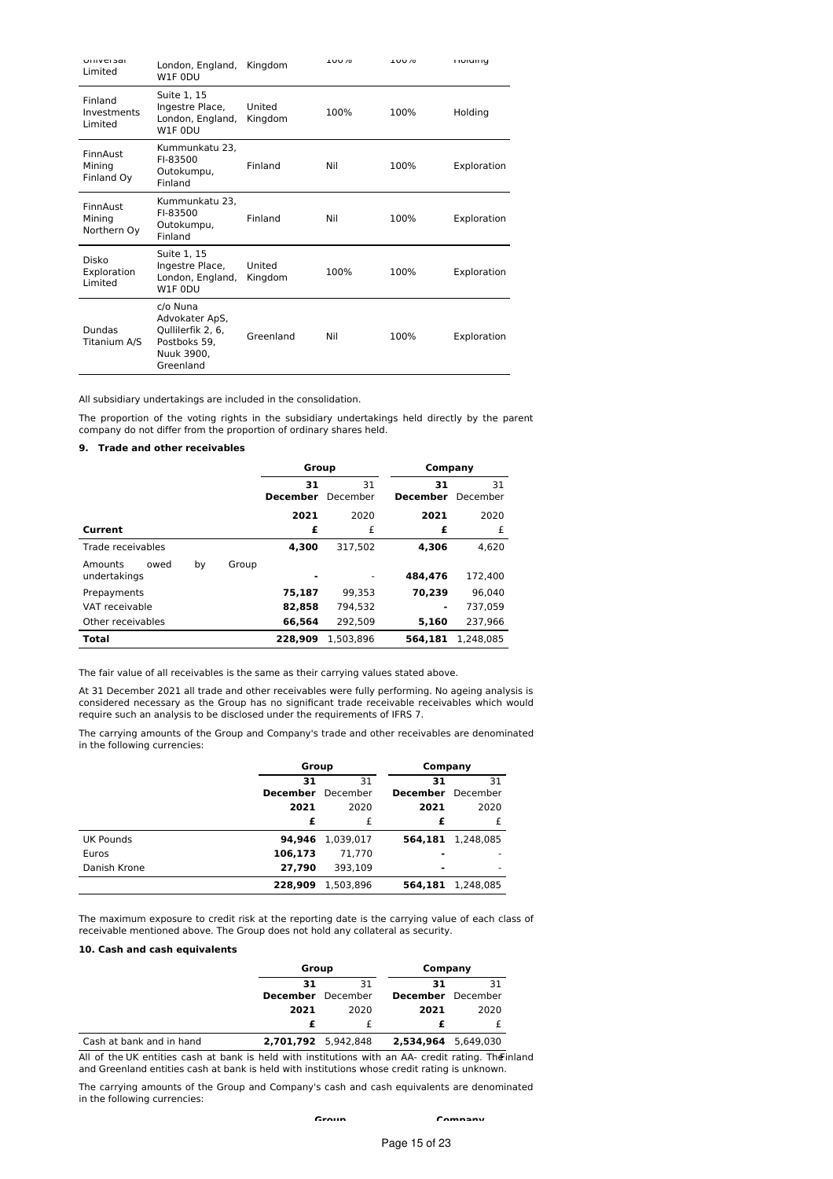| <b>UIIIVEI SAI</b><br>Limited     | London, England,<br>W1F 0DU                                                                | Kingdom           | <b>LUU/0</b> | <b>LUU/0</b> | <b>HURHIN</b> |
|-----------------------------------|--------------------------------------------------------------------------------------------|-------------------|--------------|--------------|---------------|
| Finland<br>Investments<br>Limited | Suite 1, 15<br>Ingestre Place,<br>London, England,<br>W1F 0DU                              | United<br>Kingdom | 100%         | 100%         | Holding       |
| FinnAust<br>Mining<br>Finland Oy  | Kummunkatu 23,<br>FI-83500<br>Outokumpu,<br>Finland                                        | Finland           | Nil          | 100%         | Exploration   |
| FinnAust<br>Mining<br>Northern Oy | Kummunkatu 23,<br>FI-83500<br>Outokumpu,<br>Finland                                        | Finland           | Nil          | 100%         | Exploration   |
| Disko<br>Exploration<br>Limited   | Suite 1, 15<br>Ingestre Place,<br>London, England,<br>W <sub>1</sub> F 0DU                 | United<br>Kingdom | 100%         | 100%         | Exploration   |
| Dundas<br>Titanium A/S            | c/o Nuna<br>Advokater ApS,<br>Qullilerfik 2, 6,<br>Postboks 59.<br>Nuuk 3900,<br>Greenland | Greenland         | Nil          | 100%         | Exploration   |

All subsidiary undertakings are included in the consolidation.

The proportion of the voting rights in the subsidiary undertakings held directly by the parent company do not differ from the proportion of ordinary shares held.

# **9. Trade and other receivables**

|                                                | Group                 |                | Company               |                |
|------------------------------------------------|-----------------------|----------------|-----------------------|----------------|
|                                                | 31<br><b>December</b> | 31<br>December | 31<br><b>December</b> | 31<br>December |
|                                                | 2021                  | 2020           | 2021                  | 2020           |
| Current                                        | £                     | £              | £                     | £              |
| Trade receivables                              | 4.300                 | 317.502        | 4.306                 | 4.620          |
| Amounts<br>by<br>owed<br>Group<br>undertakings |                       |                | 484.476               | 172,400        |
| Prepayments                                    | 75,187                | 99.353         | 70,239                | 96.040         |
| VAT receivable                                 | 82,858                | 794.532        | $\blacksquare$        | 737.059        |
| Other receivables                              | 66,564                | 292.509        | 5.160                 | 237.966        |
| <b>Total</b>                                   | 228.909               | 1.503.896      | 564.181               | 1.248.085      |

The fair value of all receivables is the same as their carrying values stated above.

At 31 December 2021 all trade and other receivables were fully performing. No ageing analysis is considered necessary as the Group has no significant trade receivable receivables which would require such an analysis to be disclosed under the requirements of IFRS 7.

The carrying amounts of the Group and Company's trade and other receivables are denominated in the following currencies:

|              | Group           |           | Company         |           |
|--------------|-----------------|-----------|-----------------|-----------|
|              | 31              | 31        | 31              | 31        |
|              | <b>December</b> | December  | <b>December</b> | December  |
|              | 2021            | 2020      | 2021            | 2020      |
|              | £               | £         | £               | £         |
| UK Pounds    | 94,946          | 1,039,017 | 564.181         | 1,248,085 |
| Euros        | 106,173         | 71,770    | -               |           |
| Danish Krone | 27,790          | 393.109   | ۰               | ۰         |
|              | 228,909         | 1,503,896 | 564,181         | 1,248,085 |

The maximum exposure to credit risk at the reporting date is the carrying value of each class of receivable mentioned above. The Group does not hold any collateral as security.

# **10. Cash and cash equivalents**

|                          | Group                    |      | Company                  |      |
|--------------------------|--------------------------|------|--------------------------|------|
|                          | 31<br>31                 |      | 31                       | 31   |
|                          | <b>December</b> December |      | <b>December</b> December |      |
|                          | 2021                     | 2020 | 2021                     | 2020 |
|                          |                          |      |                          |      |
| Cash at bank and in hand | 2,701,792 5,942,848      |      | 2,534,964 5,649,030      |      |

All of the UK entities cash at bank is held with institutions with an AA- credit rating. The inland and Greenland entities cash at bank is held with institutions whose credit rating is unknown.

The carrying amounts of the Group and Company's cash and cash equivalents are denominated in the following currencies:

**Group Company**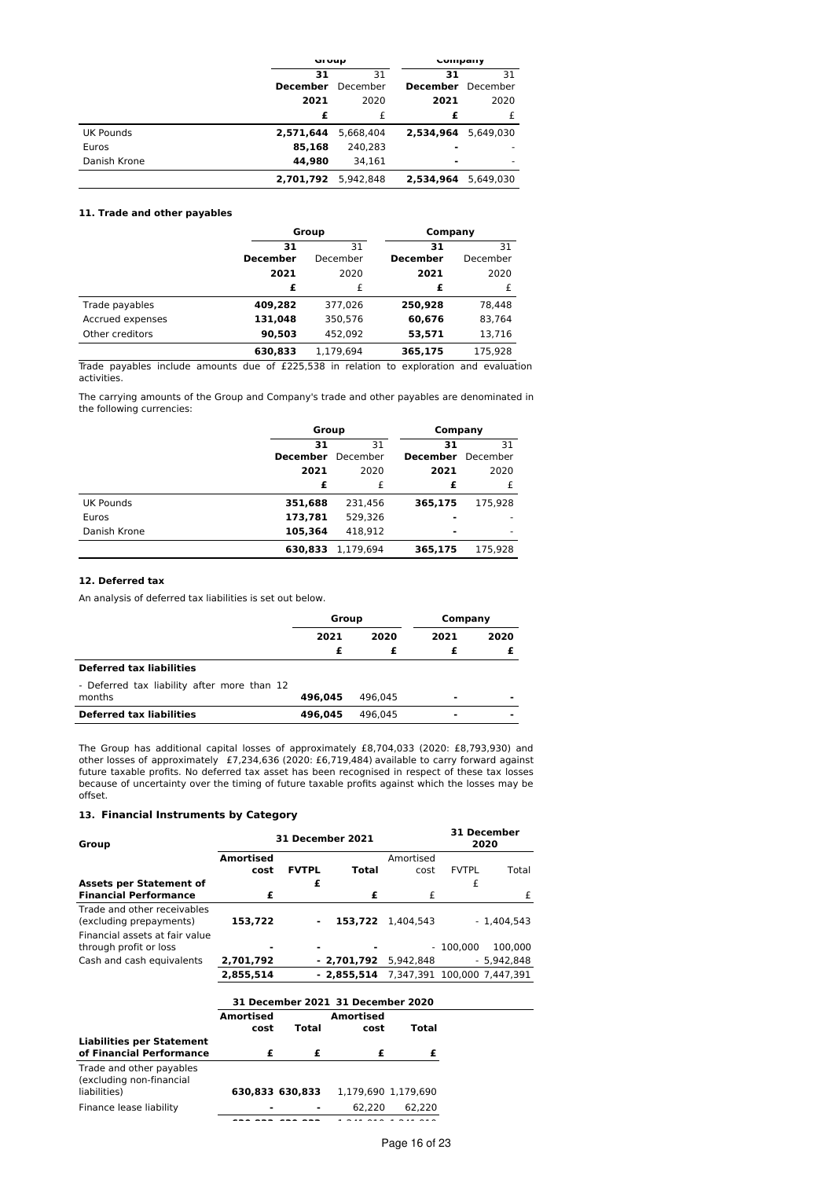|                  | urvup           |           | Company                  |           |
|------------------|-----------------|-----------|--------------------------|-----------|
|                  | 31              | 31        | 31                       | 31        |
|                  | <b>December</b> | December  | <b>December</b> December |           |
|                  | 2021            | 2020      | 2021                     | 2020      |
|                  | £               | £         | £                        | £         |
| <b>UK Pounds</b> | 2,571,644       | 5,668,404 | 2.534.964                | 5.649.030 |
| Euros            | 85,168          | 240,283   |                          |           |
| Danish Krone     | 44.980          | 34.161    | $\blacksquare$           |           |
|                  | 2,701,792       | 5.942.848 | 2.534.964                | 5.649.030 |

# **11. Trade and other payables**

|                  |                 | Group     |                 | Company  |
|------------------|-----------------|-----------|-----------------|----------|
|                  | 31              | 31        |                 | 31       |
|                  | <b>December</b> | December  | <b>December</b> | December |
|                  | 2021            | 2020      | 2021            | 2020     |
|                  | £               | £         | £               |          |
| Trade payables   | 409,282         | 377.026   | 250,928         | 78.448   |
| Accrued expenses | 131,048         | 350,576   | 60,676          | 83,764   |
| Other creditors  | 90,503          | 452.092   | 53,571          | 13,716   |
|                  | 630,833         | 1.179.694 | 365,175         | 175.928  |

Trade payables include amounts due of £225,538 in relation to exploration and evaluation activities.

The carrying amounts of the Group and Company's trade and other payables are denominated in the following currencies:

|                  | Group           |           | Company                  |         |
|------------------|-----------------|-----------|--------------------------|---------|
|                  | 31              | 31        | 31                       | 31      |
|                  | <b>December</b> | December  | <b>December</b> December |         |
|                  | 2021            | 2020      | 2021                     | 2020    |
|                  | £               | £         | £                        | £       |
| <b>UK Pounds</b> | 351,688         | 231,456   | 365,175                  | 175,928 |
| Euros            | 173,781         | 529.326   |                          |         |
| Danish Krone     | 105,364         | 418.912   |                          |         |
|                  | 630,833         | 1.179.694 | 365,175                  | 175,928 |

# **12. Deferred tax**

An analysis of deferred tax liabilities is set out below.

|                                                       | Group   |         | Company        |                |
|-------------------------------------------------------|---------|---------|----------------|----------------|
|                                                       | 2021    | 2020    | 2021           | 2020           |
|                                                       | £       |         |                |                |
| <b>Deferred tax liabilities</b>                       |         |         |                |                |
| - Deferred tax liability after more than 12<br>months | 496.045 | 496.045 | -              | -              |
| <b>Deferred tax liabilities</b>                       | 496.045 | 496.045 | $\blacksquare$ | $\blacksquare$ |

The Group has additional capital losses of approximately £8,704,033 (2020: £8,793,930) and other losses of approximately £7,234,636 (2020: £6,719,484) available to carry forward against future taxable profits. No deferred tax asset has been recognised in respect of these tax losses because of uncertainty over the timing of future taxable profits against which the losses may be offset.

# **13. Financial Instruments by Category**

| Group                                                                                    | 31 December 2021         |                 |                                          |                     |              | 31 December<br>2020 |  |
|------------------------------------------------------------------------------------------|--------------------------|-----------------|------------------------------------------|---------------------|--------------|---------------------|--|
|                                                                                          | <b>Amortised</b><br>cost | <b>FVTPL</b>    | <b>Total</b>                             | Amortised<br>cost   | <b>FVTPL</b> | Total               |  |
| <b>Assets per Statement of</b><br><b>Financial Performance</b>                           | £                        | £               | £                                        | £                   | £            | £                   |  |
| Trade and other receivables<br>(excluding prepayments)<br>Financial assets at fair value | 153,722                  | -               | 153,722 1,404,543                        |                     |              | - 1,404,543         |  |
| through profit or loss                                                                   |                          |                 |                                          |                     | $-100,000$   | 100,000             |  |
| Cash and cash equivalents                                                                | 2,701,792                |                 | $-2,701,792$ 5,942,848                   |                     |              | - 5,942,848         |  |
|                                                                                          | 2,855,514                |                 | $-2,855,514$ 7,347,391 100,000 7,447,391 |                     |              |                     |  |
|                                                                                          |                          |                 | 31 December 2021 31 December 2020        |                     |              |                     |  |
|                                                                                          | <b>Amortised</b>         |                 | Amortised                                |                     |              |                     |  |
|                                                                                          | cost                     | Total           | cost                                     | Total               |              |                     |  |
| <b>Liabilities per Statement</b><br>of Financial Performance                             | £                        | £               | £                                        | £                   |              |                     |  |
| Trade and other payables<br>(excluding non-financial<br>liabilities)                     |                          | 630,833 630,833 |                                          | 1,179,690 1,179,690 |              |                     |  |
| Finance lease liability                                                                  |                          |                 | 62,220                                   | 62,220              |              |                     |  |

**630,833 630,833** 1,241,910 1,241,910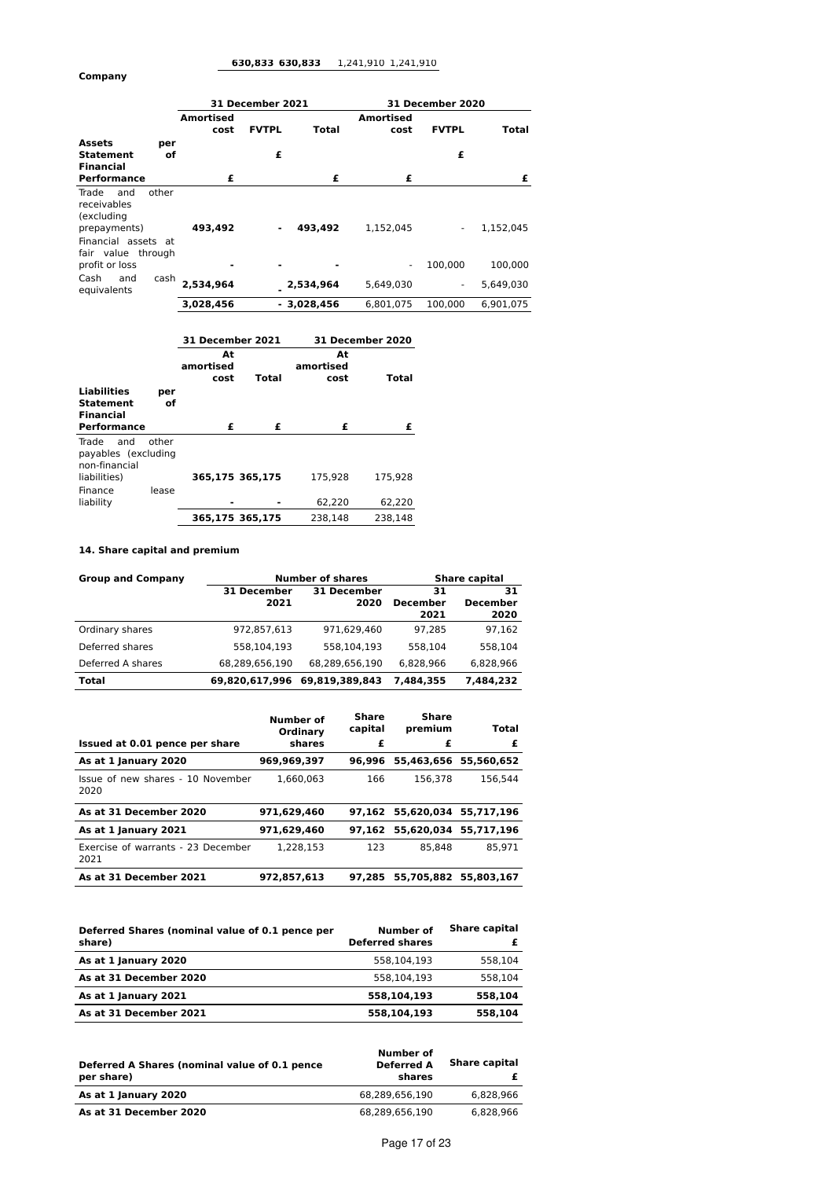# **630,833 630,833** 1,241,910 1,241,910

**Company**

|                                                                    |                   | 31 December 2021 |              | 31 December 2020         |                          |           |
|--------------------------------------------------------------------|-------------------|------------------|--------------|--------------------------|--------------------------|-----------|
|                                                                    | Amortised<br>cost | <b>FVTPL</b>     | Total        | <b>Amortised</b><br>cost | <b>FVTPL</b>             | Total     |
| <b>Assets</b><br>per<br><b>Statement</b><br>of<br><b>Financial</b> |                   | £                |              |                          | £                        |           |
| Performance                                                        | £                 |                  | £            | £                        |                          | £         |
| other<br>Trade<br>and<br>receivables<br>(excluding<br>prepayments) | 493,492           | $\blacksquare$   | 493.492      | 1,152,045                | ٠                        | 1,152,045 |
| Financial assets at<br>fair value through<br>profit or loss        |                   |                  |              | $\overline{a}$           | 100.000                  | 100.000   |
| Cash<br>and<br>cash<br>equivalents                                 | 2.534.964         |                  | 2,534,964    | 5.649.030                | $\overline{\phantom{a}}$ | 5.649.030 |
|                                                                    | 3,028,456         |                  | $-3,028,456$ | 6.801.075                | 100.000                  | 6.901.075 |

|                                                      |       | 31 December 2021        |                                         | 31 December 2020 |              |  |
|------------------------------------------------------|-------|-------------------------|-----------------------------------------|------------------|--------------|--|
|                                                      |       | At<br>amortised<br>cost | At<br>amortised<br><b>Total</b><br>cost |                  | <b>Total</b> |  |
| <b>Liabilities</b>                                   | per   |                         |                                         |                  |              |  |
| <b>Statement</b><br>Financial                        | of    |                         |                                         |                  |              |  |
| Performance                                          |       | £                       | £                                       | £                | £            |  |
| Trade<br>and<br>payables (excluding<br>non-financial | other |                         |                                         |                  |              |  |
| liabilities)                                         |       |                         | 365.175 365.175                         | 175.928          | 175.928      |  |
| Finance<br>liability                                 | lease |                         |                                         | 62.220           | 62,220       |  |
|                                                      |       |                         | 365,175 365,175                         | 238.148          | 238.148      |  |

# **14. Share capital and premium**

| <b>Group and Company</b> |                     | <b>Number of shares</b>    | <b>Share capital</b>          |                        |  |
|--------------------------|---------------------|----------------------------|-------------------------------|------------------------|--|
|                          | 31 December<br>2021 | <b>31 December</b><br>2020 | 31<br><b>December</b><br>2021 | 31<br>December<br>2020 |  |
| Ordinary shares          | 972.857.613         | 971.629.460                | 97.285                        | 97,162                 |  |
| Deferred shares          | 558.104.193         | 558.104.193                | 558.104                       | 558.104                |  |
| Deferred A shares        | 68,289,656,190      | 68,289,656,190             | 6.828.966                     | 6.828.966              |  |
| Total                    | 69.820.617.996      | 69.819.389.843             | 7.484.355                     | 7,484,232              |  |

| Issued at 0.01 pence per share             | Number of<br>Ordinary<br>shares | Share<br>capital<br>£ | Share<br>premium<br>£ | Total<br>£            |
|--------------------------------------------|---------------------------------|-----------------------|-----------------------|-----------------------|
| As at 1 January 2020                       | 969,969,397                     | 96.996                | 55,463,656            | 55.560.652            |
| Issue of new shares - 10 November<br>2020  | 1.660.063                       | 166                   | 156.378               | 156.544               |
| As at 31 December 2020                     | 971,629,460                     | 97.162                |                       | 55,620,034 55,717,196 |
| As at 1 January 2021                       | 971.629.460                     | 97.162                | 55.620.034            | 55,717,196            |
| Exercise of warrants - 23 December<br>2021 | 1.228.153                       | 123                   | 85.848                | 85.971                |
| As at 31 December 2021                     | 972.857.613                     | 97.285                | 55,705,882            | 55.803.167            |

| Deferred Shares (nominal value of 0.1 pence per<br>share) | <b>Number of</b><br><b>Deferred shares</b> | <b>Share capital</b> |
|-----------------------------------------------------------|--------------------------------------------|----------------------|
| As at 1 January 2020                                      | 558.104.193                                | 558.104              |
| As at 31 December 2020                                    | 558.104.193                                | 558.104              |
| As at 1 January 2021                                      | 558.104.193                                | 558.104              |
| As at 31 December 2021                                    | 558,104,193                                | 558.104              |

| Deferred A Shares (nominal value of 0.1 pence<br>per share) | Number of<br><b>Deferred A</b><br>shares | <b>Share capital</b> |
|-------------------------------------------------------------|------------------------------------------|----------------------|
| As at 1 January 2020                                        | 68.289.656.190                           | 6.828.966            |
| As at 31 December 2020                                      | 68.289.656.190                           | 6.828.966            |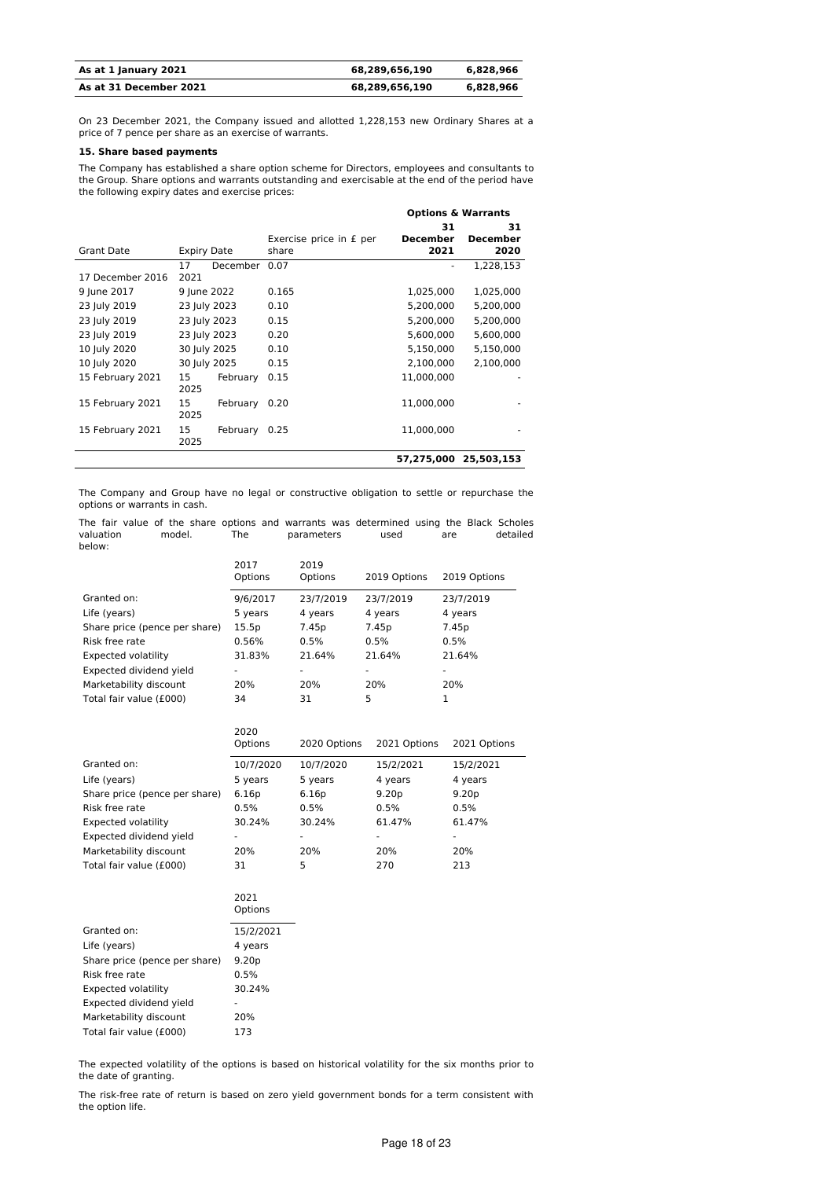| As at 1 January 2021   | 68.289.656.190 | 6.828.966 |
|------------------------|----------------|-----------|
| As at 31 December 2021 | 68.289.656.190 | 6.828.966 |

On 23 December 2021, the Company issued and allotted 1,228,153 new Ordinary Shares at a price of 7 pence per share as an exercise of warrants.

# **15. Share based payments**

The Company has established a share option scheme for Directors, employees and consultants to the Group. Share options and warrants outstanding and exercisable at the end of the period have the following expiry dates and exercise prices:

|                  |                    |               |                         | <b>Options &amp; Warrants</b> |                 |
|------------------|--------------------|---------------|-------------------------|-------------------------------|-----------------|
|                  |                    |               |                         | 31                            | 31              |
|                  |                    |               | Exercise price in £ per | <b>December</b>               | <b>December</b> |
| Grant Date       | <b>Expiry Date</b> |               | share                   | 2021                          | 2020            |
|                  | 17                 | December 0.07 |                         | ۰                             | 1,228,153       |
| 17 December 2016 | 2021               |               |                         |                               |                 |
| 9 June 2017      | 9 June 2022        |               | 0.165                   | 1,025,000                     | 1,025,000       |
| 23 July 2019     | 23 July 2023       |               | 0.10                    | 5,200,000                     | 5,200,000       |
| 23 July 2019     | 23 July 2023       |               | 0.15                    | 5,200,000                     | 5,200,000       |
| 23 July 2019     | 23 July 2023       |               | 0.20                    | 5,600,000                     | 5,600,000       |
| 10 July 2020     | 30 July 2025       |               | 0.10                    | 5,150,000                     | 5,150,000       |
| 10 July 2020     | 30 July 2025       |               | 0.15                    | 2.100.000                     | 2,100,000       |
| 15 February 2021 | 15<br>2025         | February      | 0.15                    | 11,000,000                    |                 |
| 15 February 2021 | 15<br>2025         | February      | 0.20                    | 11,000,000                    |                 |
| 15 February 2021 | 15<br>2025         | February      | 0.25                    | 11,000,000                    |                 |
|                  |                    |               |                         | 57,275,000                    | 25,503,153      |

The Company and Group have no legal or constructive obligation to settle or repurchase the options or warrants in cash.

The fair value of the share options and warrants was determined using the Black Scholes<br>valuation and model. The parameters used are detailed parameters below:

|                               | 2017<br>Options | 2019<br>Options | 2019 Options | 2019 Options |
|-------------------------------|-----------------|-----------------|--------------|--------------|
| Granted on:                   | 9/6/2017        | 23/7/2019       | 23/7/2019    | 23/7/2019    |
| Life (years)                  | 5 years         | 4 years         | 4 years      | 4 years      |
| Share price (pence per share) | 15.5p           | 7.45p           | 7.45p        | 7.45p        |
| Risk free rate                | 0.56%           | 0.5%            | 0.5%         | 0.5%         |
| <b>Expected volatility</b>    | 31.83%          | 21.64%          | 21.64%       | 21.64%       |
| Expected dividend yield       | ۰               |                 |              | ۰            |
| Marketability discount        | 20%             | 20%             | 20%          | 20%          |
| Total fair value (£000)       | 34              | 31              | 5            |              |

|                               | 2020<br>Options | 2020 Options | 2021 Options      | 2021 Options      |
|-------------------------------|-----------------|--------------|-------------------|-------------------|
| Granted on:                   | 10/7/2020       | 10/7/2020    | 15/2/2021         | 15/2/2021         |
| Life (years)                  | 5 years         | 5 years      | 4 years           | 4 years           |
| Share price (pence per share) | 6.16p           | 6.16p        | 9.20 <sub>p</sub> | 9.20 <sub>p</sub> |
| Risk free rate                | 0.5%            | 0.5%         | 0.5%              | 0.5%              |
| Expected volatility           | 30.24%          | 30.24%       | 61.47%            | 61.47%            |
| Expected dividend yield       |                 |              |                   |                   |
| Marketability discount        | 20%             | 20%          | 20%               | 20%               |
| Total fair value (£000)       | 31              | 5            | 270               | 213               |

|                               | 2021<br>Options   |
|-------------------------------|-------------------|
| Granted on:                   | 15/2/2021         |
| Life (years)                  | 4 years           |
| Share price (pence per share) | 9.20 <sub>p</sub> |
| Risk free rate                | 0.5%              |
| <b>Expected volatility</b>    | 30.24%            |
| Expected dividend yield       |                   |
| Marketability discount        | 20%               |
| Total fair value (£000)       | 173               |

The expected volatility of the options is based on historical volatility for the six months prior to the date of granting.

The risk-free rate of return is based on zero yield government bonds for a term consistent with the option life.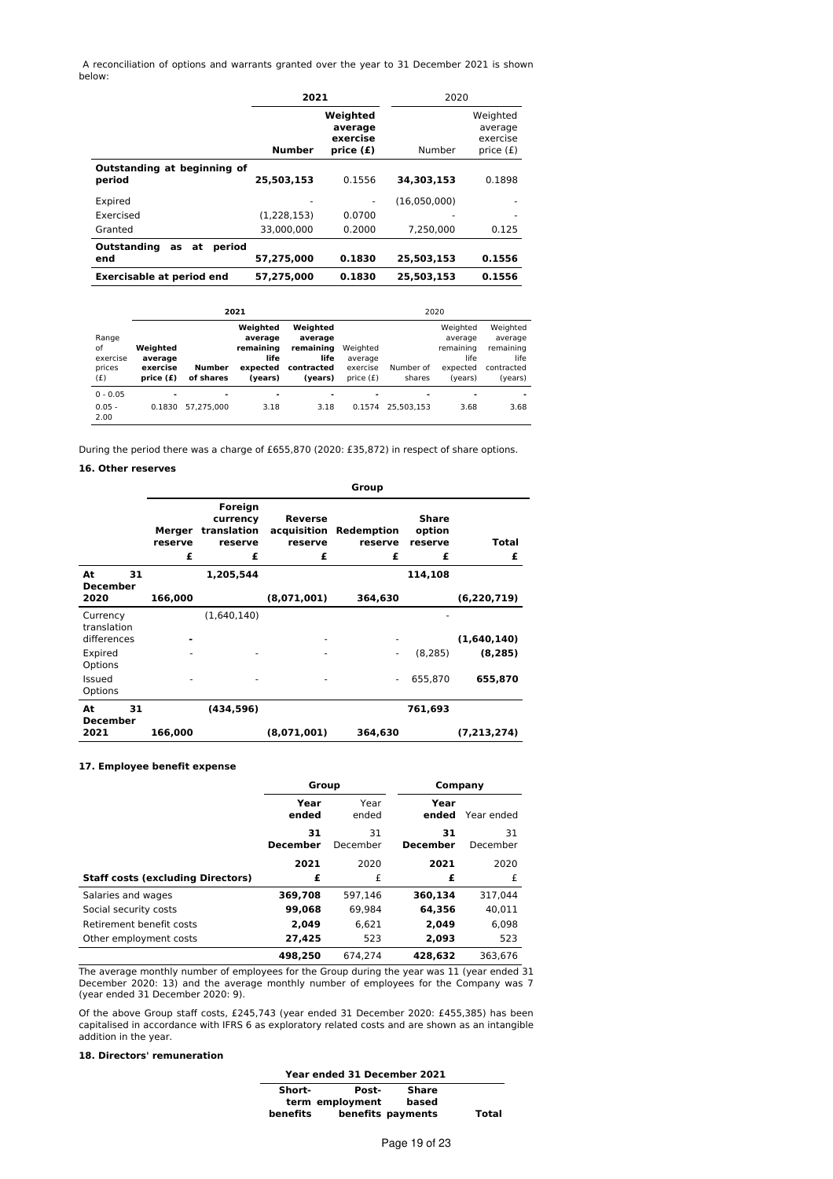A reconciliation of options and warrants granted over the year to 31 December 2021 is shown below:

|                                       | 2021          |                                              | 2020         |                                                |
|---------------------------------------|---------------|----------------------------------------------|--------------|------------------------------------------------|
|                                       | <b>Number</b> | Weighted<br>average<br>exercise<br>price (£) | Number       | Weighted<br>average<br>exercise<br>price $(f)$ |
| Outstanding at beginning of<br>period | 25,503,153    | 0.1556                                       | 34,303,153   | 0.1898                                         |
| Expired                               |               |                                              | (16,050,000) |                                                |
| Exercised                             | (1,228,153)   | 0.0700                                       |              |                                                |
| Granted                               | 33.000.000    | 0.2000                                       | 7.250.000    | 0.125                                          |
| Outstanding<br>period<br>at<br>as     |               |                                              |              |                                                |
| end                                   | 57.275.000    | 0.1830                                       | 25.503.153   | 0.1556                                         |
| <b>Exercisable at period end</b>      | 57,275,000    | 0.1830                                       | 25,503,153   | 0.1556                                         |

|                                 | 2021<br>2020                                 |                              |                                          |                                            |                                                |                                        |                                          |                                            |
|---------------------------------|----------------------------------------------|------------------------------|------------------------------------------|--------------------------------------------|------------------------------------------------|----------------------------------------|------------------------------------------|--------------------------------------------|
| Range                           |                                              |                              | Weighted<br>average                      | Weighted<br>average                        |                                                |                                        | Weighted<br>average                      | Weighted<br>average                        |
| οf<br>exercise<br>prices<br>(f) | Weighted<br>average<br>exercise<br>price (£) | <b>Number</b><br>of shares   | remaining<br>life<br>expected<br>(years) | remaining<br>life<br>contracted<br>(years) | Weighted<br>average<br>exercise<br>price $(f)$ | Number of<br>shares                    | remaining<br>life<br>expected<br>(vears) | remaining<br>life<br>contracted<br>(years) |
| $0 - 0.05$<br>$0.05 -$<br>2.00  | $\overline{\phantom{a}}$<br>0.1830           | $\blacksquare$<br>57.275.000 | 3.18                                     | -<br>3.18                                  | -<br>0.1574                                    | $\overline{\phantom{a}}$<br>25.503.153 | $\blacksquare$<br>3.68                   | 3.68                                       |

During the period there was a charge of £655,870 (2020: £35,872) in respect of share options.

# **16. Other reserves**

|                                        |                        |                                                    |                                        | Group                      |                                 |               |
|----------------------------------------|------------------------|----------------------------------------------------|----------------------------------------|----------------------------|---------------------------------|---------------|
|                                        | Merger<br>reserve<br>£ | Foreign<br>currency<br>translation<br>reserve<br>£ | Reverse<br>acquisition<br>reserve<br>£ | Redemption<br>reserve<br>£ | Share<br>option<br>reserve<br>£ | Total<br>£    |
| At<br>31<br><b>December</b>            |                        | 1,205,544                                          |                                        |                            | 114,108                         |               |
| 2020                                   | 166,000                |                                                    | (8,071,001)                            | 364,630                    |                                 | (6, 220, 719) |
| Currency<br>translation<br>differences |                        | (1,640,140)                                        |                                        |                            |                                 | (1,640,140)   |
| Expired<br>Options                     |                        |                                                    |                                        | $\overline{\phantom{a}}$   | (8, 285)                        | (8, 285)      |
| Issued<br>Options                      |                        |                                                    |                                        | $\overline{\phantom{a}}$   | 655,870                         | 655,870       |
| 31<br>At<br><b>December</b>            |                        | (434,596)                                          |                                        |                            | 761,693                         |               |
| 2021                                   | 166,000                |                                                    | (8,071,001)                            | 364,630                    |                                 | (7, 213, 274) |

# **17. Employee benefit expense**

|                                          | Group                 |                | Company               |                |
|------------------------------------------|-----------------------|----------------|-----------------------|----------------|
|                                          | Year<br>ended         | Year<br>ended  | Year<br>ended         | Year ended     |
|                                          | 31<br><b>December</b> | 31<br>December | 31<br><b>December</b> | 31<br>December |
|                                          | 2021                  | 2020           | 2021                  | 2020           |
| <b>Staff costs (excluding Directors)</b> | £                     | £              | £                     | £              |
| Salaries and wages                       | 369,708               | 597.146        | 360,134               | 317.044        |
| Social security costs                    | 99,068                | 69,984         | 64,356                | 40,011         |
| Retirement benefit costs                 | 2.049                 | 6.621          | 2.049                 | 6.098          |
| Other employment costs                   | 27.425                | 523            | 2,093                 | 523            |
|                                          | 498.250               | 674.274        | 428.632               | 363.676        |

The average monthly number of employees for the Group during the year was 11 (year ended 31 December 2020: 13) and the average monthly number of employees for the Company was 7 (year ended 31 December 2020: 9).

Of the above Group staff costs, £245,743 (year ended 31 December 2020: £455,385) has been capitalised in accordance with IFRS 6 as exploratory related costs and are shown as an intangible addition in the year.

# **18. Directors' remuneration**

| Year ended 31 December 2021 |                 |                   |              |
|-----------------------------|-----------------|-------------------|--------------|
| Short-                      | Post-           | <b>Share</b>      |              |
|                             | term employment | based             |              |
| benefits                    |                 | benefits payments | <b>Total</b> |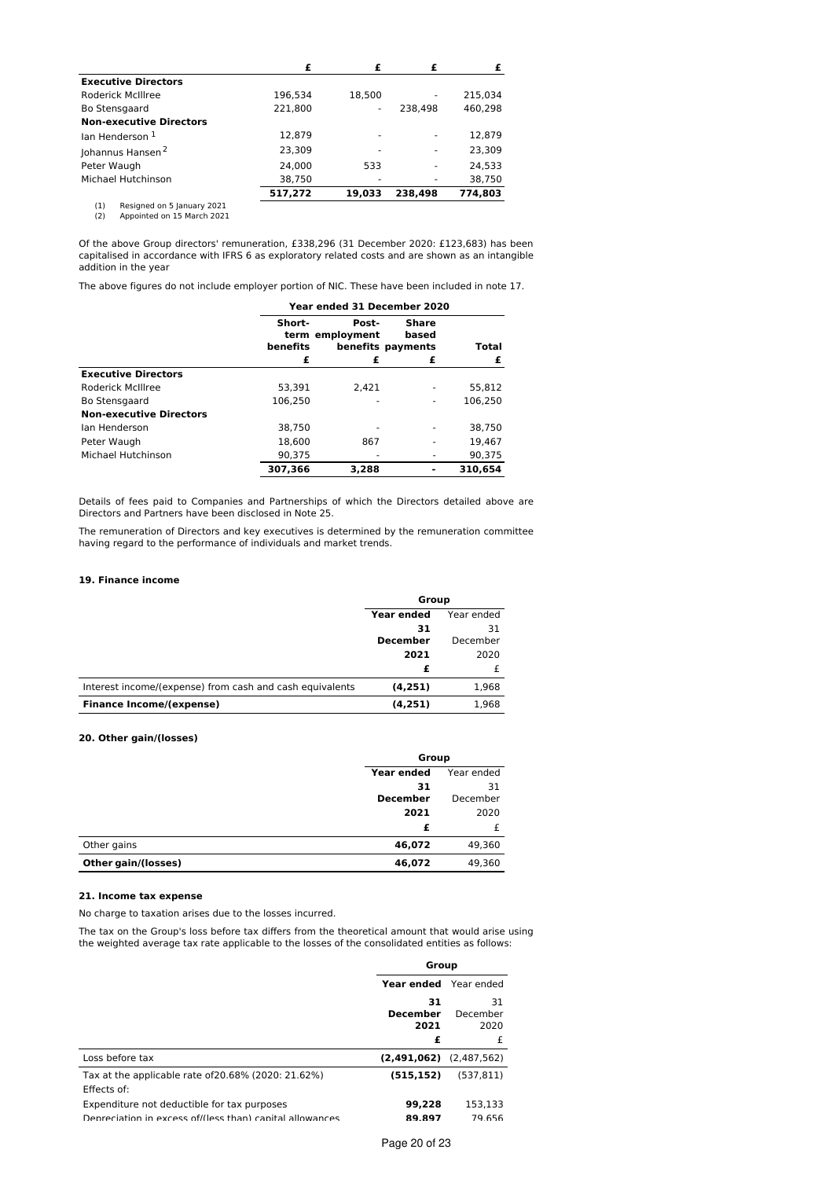|                                   | £       |                          |         |         |
|-----------------------------------|---------|--------------------------|---------|---------|
| <b>Executive Directors</b>        |         |                          |         |         |
| <b>Roderick McIllree</b>          | 196.534 | 18.500                   |         | 215.034 |
| Bo Stensgaard                     | 221.800 | $\overline{\phantom{a}}$ | 238.498 | 460,298 |
| <b>Non-executive Directors</b>    |         |                          |         |         |
| lan Henderson 1                   | 12,879  |                          | ۰       | 12,879  |
| Johannus Hansen <sup>2</sup>      | 23,309  | ٠                        | ۰       | 23,309  |
| Peter Waugh                       | 24.000  | 533                      | ٠       | 24.533  |
| Michael Hutchinson                | 38,750  |                          | ۰       | 38,750  |
|                                   | 517,272 | 19.033                   | 238.498 | 774,803 |
| Resigned on 5 January 2021<br>(1) |         |                          |         |         |

(1) Resigned on 5 January 2021 (2) Appointed on 15 March 2021

Of the above Group directors' remuneration, £338,296 (31 December 2020: £123,683) has been capitalised in accordance with IFRS 6 as exploratory related costs and are shown as an intangible addition in the year

The above figures do not include employer portion of NIC. These have been included in note 17.

|                                | Year ended 31 December 2020 |                          |                                     |         |
|--------------------------------|-----------------------------|--------------------------|-------------------------------------|---------|
|                                | Short-<br>benefits          | Post-<br>term employment | Share<br>based<br>benefits payments | Total   |
|                                | £                           | £                        | £                                   | £       |
| <b>Executive Directors</b>     |                             |                          |                                     |         |
| Roderick McIllree              | 53.391                      | 2.421                    |                                     | 55.812  |
| Bo Stensgaard                  | 106.250                     |                          |                                     | 106.250 |
| <b>Non-executive Directors</b> |                             |                          |                                     |         |
| Ian Henderson                  | 38.750                      |                          |                                     | 38.750  |
| Peter Waugh                    | 18.600                      | 867                      |                                     | 19.467  |
| Michael Hutchinson             | 90.375                      |                          |                                     | 90.375  |
|                                | 307,366                     | 3,288                    |                                     | 310,654 |

Details of fees paid to Companies and Partnerships of which the Directors detailed above are Directors and Partners have been disclosed in Note 25.

The remuneration of Directors and key executives is determined by the remuneration committee having regard to the performance of individuals and market trends.

# **19. Finance income**

|                                                          | Group             |            |  |
|----------------------------------------------------------|-------------------|------------|--|
|                                                          | <b>Year ended</b> | Year ended |  |
|                                                          | 31                | 31         |  |
|                                                          | <b>December</b>   | December   |  |
|                                                          | 2021              | 2020       |  |
|                                                          |                   |            |  |
| Interest income/(expense) from cash and cash equivalents | (4,251)           | 1,968      |  |
| <b>Finance Income/(expense)</b>                          | (4, 251)          | 1,968      |  |

# **20. Other gain/(losses)**

|                     | Group           |            |  |
|---------------------|-----------------|------------|--|
|                     | Year ended      | Year ended |  |
|                     | 31              | 31         |  |
|                     | <b>December</b> | December   |  |
|                     | 2021            | 2020       |  |
|                     | £               |            |  |
| Other gains         | 46,072          | 49,360     |  |
| Other gain/(losses) | 46,072          | 49,360     |  |

# **21. Income tax expense**

No charge to taxation arises due to the losses incurred.

The tax on the Group's loss before tax differs from the theoretical amount that would arise using the weighted average tax rate applicable to the losses of the consolidated entities as follows:

|                                                          | Group                 |             |  |
|----------------------------------------------------------|-----------------------|-------------|--|
|                                                          | Year ended Year ended |             |  |
|                                                          | 31                    | 31          |  |
|                                                          | <b>December</b>       | December    |  |
|                                                          | 2021                  | 2020        |  |
|                                                          | £                     | £           |  |
| Loss before tax                                          | (2,491,062)           | (2.487.562) |  |
| Tax at the applicable rate of 20.68% (2020: 21.62%)      | (515.152)             | (537.811)   |  |
| Effects of:                                              |                       |             |  |
| Expenditure not deductible for tax purposes              | 99.228                | 153.133     |  |
| Depreciation in excess of/(less than) capital allowances | 89.897                | 79.656      |  |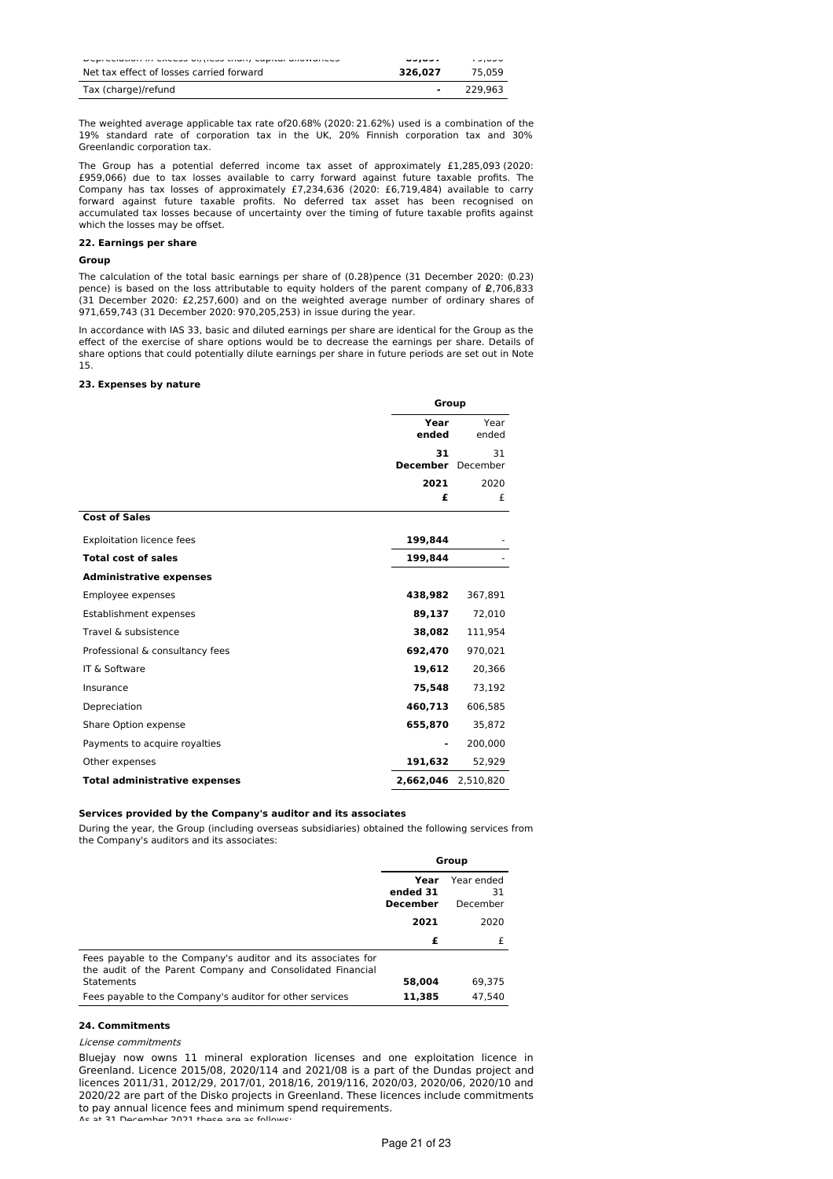| <b>Propresional in concept offices many capital anomatices</b> | ------  | しつ いしし  |
|----------------------------------------------------------------|---------|---------|
| Net tax effect of losses carried forward                       | 326.027 | 75.059  |
| Tax (charge)/refund                                            | -       | 229.963 |

The weighted average applicable tax rate of20.68% (2020: 21.62%) used is a combination of the 19% standard rate of corporation tax in the UK, 20% Finnish corporation tax and 30% Greenlandic corporation tax.

The Group has a potential deferred income tax asset of approximately £1,285,093 (2020: £959,066) due to tax losses available to carry forward against future taxable profits. The Company has tax losses of approximately £7,234,636 (2020: £6,719,484) available to carry forward against future taxable profits. No deferred tax asset has been recognised on accumulated tax losses because of uncertainty over the timing of future taxable profits against which the losses may be offset.

#### **22. Earnings per share**

# **Group**

The calculation of the total basic earnings per share of (0.28)pence (31 December 2020: (0.23) pence) is based on the loss attributable to equity holders of the parent company of  $\pmb{\varrho}$ ,706,833 (31 December 2020: £2,257,600) and on the weighted average number of ordinary shares of 971,659,743 (31 December 2020: 970,205,253) in issue during the year.

In accordance with IAS 33, basic and diluted earnings per share are identical for the Group as the effect of the exercise of share options would be to decrease the earnings per share. Details of share options that could potentially dilute earnings per share in future periods are set out in Note 15.

# **23. Expenses by nature**

|                                      | Group                   |               |
|--------------------------------------|-------------------------|---------------|
|                                      | Year<br>ended           | Year<br>ended |
|                                      | 31<br>December December | 31            |
|                                      | 2021                    | 2020          |
|                                      | £                       | £             |
| <b>Cost of Sales</b>                 |                         |               |
| <b>Exploitation licence fees</b>     | 199,844                 |               |
| <b>Total cost of sales</b>           | 199,844                 |               |
| <b>Administrative expenses</b>       |                         |               |
| Employee expenses                    | 438,982                 | 367.891       |
| Establishment expenses               | 89,137                  | 72,010        |
| Travel & subsistence                 | 38,082                  | 111,954       |
| Professional & consultancy fees      | 692,470                 | 970,021       |
| IT & Software                        | 19,612                  | 20,366        |
| Insurance                            | 75,548                  | 73,192        |
| Depreciation                         | 460,713                 | 606,585       |
| Share Option expense                 | 655,870                 | 35,872        |
| Payments to acquire royalties        |                         | 200,000       |
| Other expenses                       | 191,632                 | 52,929        |
| <b>Total administrative expenses</b> | 2,662,046 2,510,820     |               |

### **Services provided by the Company's auditor and its associates**

During the year, the Group (including overseas subsidiaries) obtained the following services from the Company's auditors and its associates:

|                                                                                                                            | Group                        |                              |
|----------------------------------------------------------------------------------------------------------------------------|------------------------------|------------------------------|
|                                                                                                                            | Year<br>ended 31<br>December | Year ended<br>31<br>December |
|                                                                                                                            | 2021                         | 2020                         |
|                                                                                                                            | £                            |                              |
| Fees payable to the Company's auditor and its associates for<br>the audit of the Parent Company and Consolidated Financial |                              |                              |
| <b>Statements</b>                                                                                                          | 58,004                       | 69.375                       |
| Fees payable to the Company's auditor for other services                                                                   | 11,385                       | 47.540                       |

# **24. Commitments**

#### License commitments

Bluejay now owns 11 mineral exploration licenses and one exploitation licence in Greenland. Licence 2015/08, 2020/114 and 2021/08 is a part of the Dundas project and licences 2011/31, 2012/29, 2017/01, 2018/16, 2019/116, 2020/03, 2020/06, 2020/10 and 2020/22 are part of the Disko projects in Greenland. These licences include commitments to pay annual licence fees and minimum spend requirements. .<br>at 31 December 2021 these are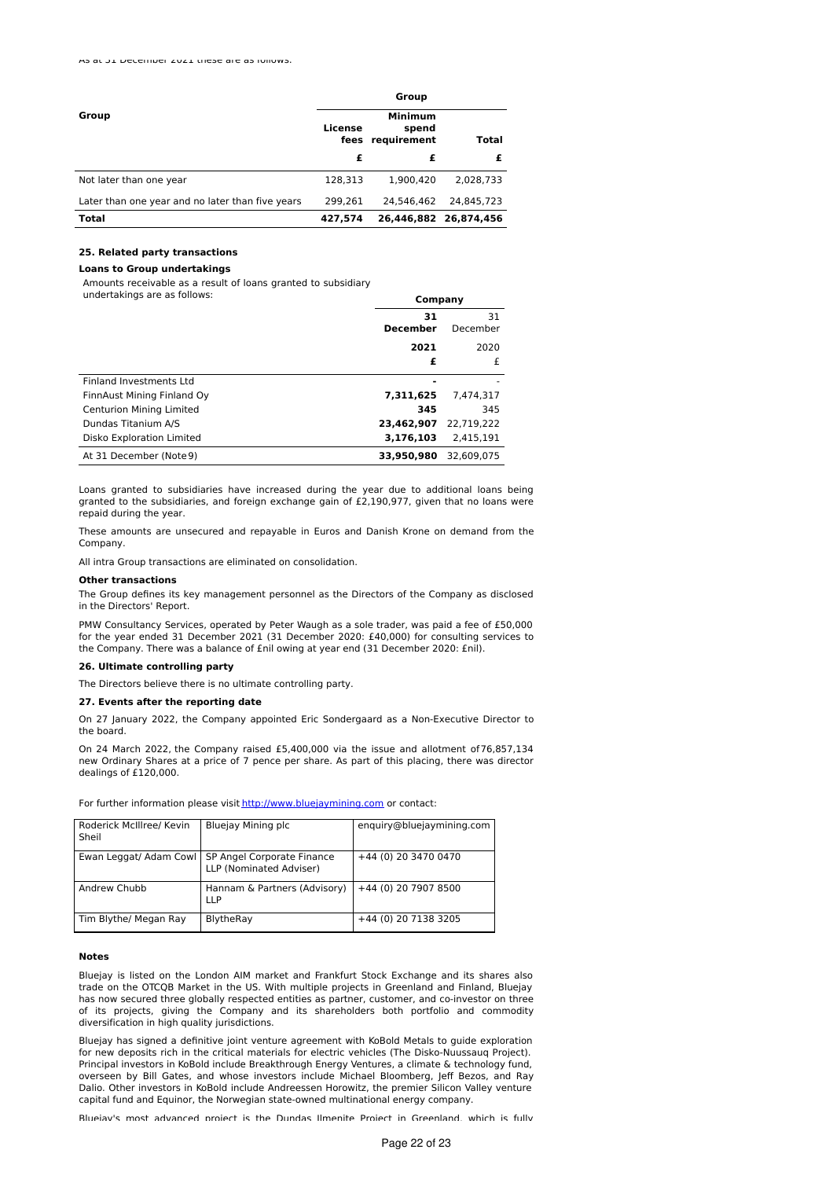|                                                  | Group   |                                             |                       |
|--------------------------------------------------|---------|---------------------------------------------|-----------------------|
| Group                                            | License | <b>Minimum</b><br>spend<br>fees requirement | Total                 |
|                                                  | £       | £                                           |                       |
| Not later than one year                          | 128.313 | 1.900.420                                   | 2.028.733             |
| Later than one year and no later than five years | 299.261 | 24.546.462                                  | 24.845.723            |
| <b>Total</b>                                     | 427.574 |                                             | 26,446,882 26,874,456 |

### **25. Related party transactions**

#### **Loans to Group undertakings**

Amounts receivable as a result of loans granted to subsidiary

undertakings are as follows:

|                                 | Company               |                |
|---------------------------------|-----------------------|----------------|
|                                 | 31<br><b>December</b> | 31<br>December |
|                                 | 2021                  | 2020           |
|                                 | £                     | £              |
| Finland Investments Ltd         |                       |                |
| FinnAust Mining Finland Oy      | 7.311.625             | 7.474.317      |
| <b>Centurion Mining Limited</b> | 345                   | 345            |
| Dundas Titanium A/S             | 23,462,907            | 22.719.222     |
| Disko Exploration Limited       | 3,176,103             | 2.415.191      |
| At 31 December (Note 9)         | 33,950,980            | 32.609.075     |

Loans granted to subsidiaries have increased during the year due to additional loans being granted to the subsidiaries, and foreign exchange gain of £2,190,977, given that no loans were repaid during the year.

These amounts are unsecured and repayable in Euros and Danish Krone on demand from the Company.

All intra Group transactions are eliminated on consolidation.

# **Other transactions**

The Group defines its key management personnel as the Directors of the Company as disclosed in the Directors' Report.

PMW Consultancy Services, operated by Peter Waugh as a sole trader, was paid a fee of £50,000 for the year ended 31 December 2021 (31 December 2020: £40,000) for consulting services to the Company. There was a balance of £nil owing at year end (31 December 2020: £nil).

#### **26. Ultimate controlling party**

The Directors believe there is no ultimate controlling party.

#### **27. Events after the reporting date**

On 27 January 2022, the Company appointed Eric Sondergaard as a Non-Executive Director to the board.

On 24 March 2022, the Company raised £5,400,000 via the issue and allotment of76,857,134 new Ordinary Shares at a price of 7 pence per share. As part of this placing, there was director dealings of £120,000.

For further information please visit [http://www.bluejaymining.com](http://www.bluejaymining.com/) or contact:

| Roderick McIllree/ Kevin<br>Sheil | Bluejay Mining plc                                    | enguiry@bluejaymining.com |
|-----------------------------------|-------------------------------------------------------|---------------------------|
| Ewan Leggat/ Adam Cowl            | SP Angel Corporate Finance<br>LLP (Nominated Adviser) | +44 (0) 20 3470 0470      |
| Andrew Chubb                      | Hannam & Partners (Advisory)<br><b>LLP</b>            | +44 (0) 20 7907 8500      |
| Tim Blythe/ Megan Ray             | BlytheRay                                             | +44 (0) 20 7138 3205      |

# **Notes**

Bluejay is listed on the London AIM market and Frankfurt Stock Exchange and its shares also trade on the OTCQB Market in the US. With multiple projects in Greenland and Finland, Bluejay has now secured three globally respected entities as partner, customer, and co-investor on three of its projects, giving the Company and its shareholders both portfolio and commodity diversification in high quality jurisdictions.

Bluejay has signed a definitive joint venture agreement with KoBold Metals to guide exploration for new deposits rich in the critical materials for electric vehicles (The Disko-Nuussauq Project). Principal investors in KoBold include Breakthrough Energy Ventures, a climate & technology fund, overseen by Bill Gates, and whose investors include Michael Bloomberg, Jeff Bezos, and Ray Dalio. Other investors in KoBold include Andreessen Horowitz, the premier Silicon Valley venture capital fund and Equinor, the Norwegian state-owned multinational energy company.

Bluejay's most advanced project is the Dundas Ilmenite Project in Greenland, which is fully